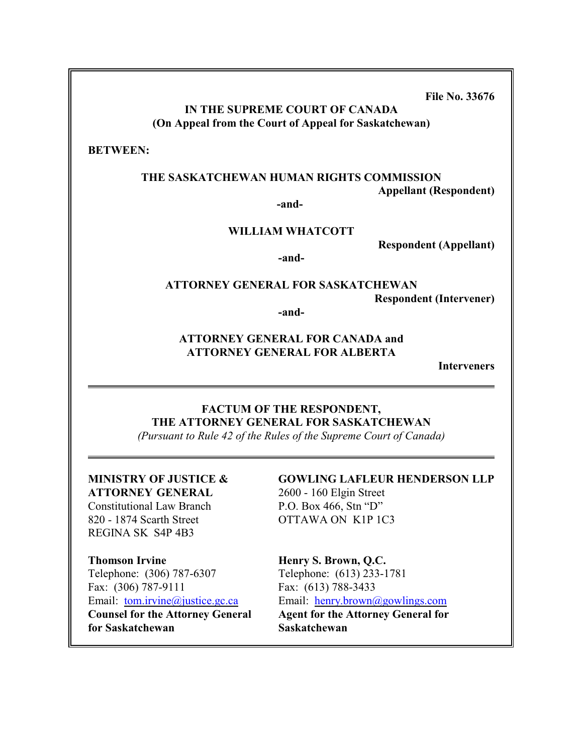**File No. 33676**

# **IN THE SUPREME COURT OF CANADA (On Appeal from the Court of Appeal for Saskatchewan)**

**BETWEEN:**

### **THE SASKATCHEWAN HUMAN RIGHTS COMMISSION**

**Appellant (Respondent)**

**-and-**

## **WILLIAM WHATCOTT**

**Respondent (Appellant)**

**-and-**

# **ATTORNEY GENERAL FOR SASKATCHEWAN Respondent (Intervener)**

**-and-**

# **ATTORNEY GENERAL FOR CANADA and ATTORNEY GENERAL FOR ALBERTA**

**Interveners**

# **FACTUM OF THE RESPONDENT, THE ATTORNEY GENERAL FOR SASKATCHEWAN**

*(Pursuant to Rule 42 of the Rules of the Supreme Court of Canada)*

# **ATTORNEY GENERAL** 2600 - 160 Elgin Street

Constitutional Law Branch P.O. Box 466, Stn "D" 820 - 1874 Scarth Street OTTAWA ON K1P 1C3 REGINA SK S4P 4B3

# **Thomson Irvine Henry S. Brown, Q.C.** Telephone: (306) 787-6307 Telephone: (613) 233-1781 Fax: (306) 787-9111 Fax: (613) 788-3433 **for Saskatchewan Saskatchewan**

# **MINISTRY OF JUSTICE & GOWLING LAFLEUR HENDERSON LLP**

# Email: <u>[tom.irvine@justice.gc.ca](mailto:tom.irvine@justice.gc.ca)</u> Email: <u>[henry.brown@gowlings.com](mailto:henry.brown@gowlings.com)</u><br>Counsel for the Attorney General Agent for the Attorney General for **Agent for the Attorney General for**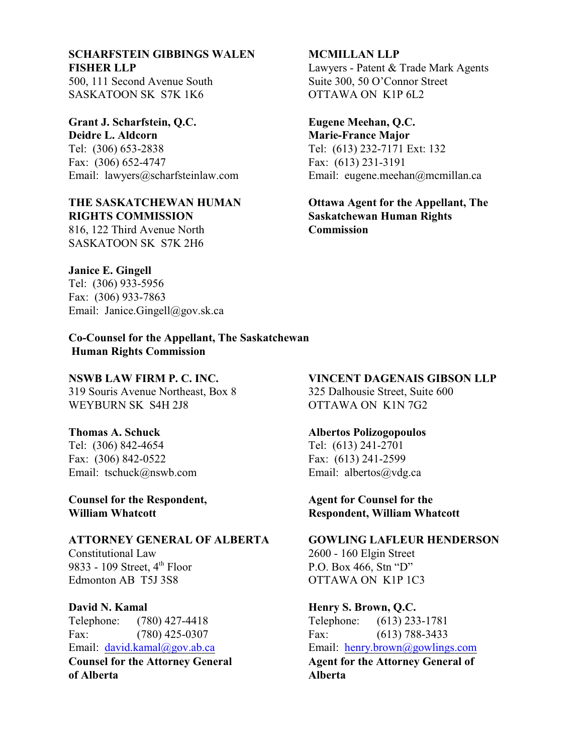# **SCHARFSTEIN GIBBINGS WALEN MCMILLAN LLP FISHER LLP** Lawyers - Patent & Trade Mark Agents

SASKATOON SK S7K 1K6 OTTAWA ON K1P 6L2

**Grant J. Scharfstein, Q.C. Eugene Meehan, Q.C. Deidre L. Aldcorn Marie-France Major** Tel: (306) 653-2838 Tel: (613) 232-7171 Ext: 132 Fax: (306) 652-4747 Fax: (613) 231-3191

# **RIGHTS COMMISSION Saskatchewan Human Rights**

816, 122 Third Avenue North **Commission** SASKATOON SK S7K 2H6

500, 111 Second Avenue South Suite 300, 50 O'Connor Street

Email: lawyers@scharfsteinlaw.com Email: eugene.meehan@mcmillan.ca

**THE SASKATCHEWAN HUMAN Ottawa Agent for the Appellant, The**

# **Janice E. Gingell**

Tel: (306) 933-5956 Fax: (306) 933-7863 Email: Janice.Gingell@gov.sk.ca

**Co-Counsel for the Appellant, The Saskatchewan Human Rights Commission**

319 Souris Avenue Northeast, Box 8 325 Dalhousie Street, Suite 600 WEYBURN SK S4H 2J8 OTTAWA ON K1N 7G2

Tel: (306) 842-4654 Tel: (613) 241-2701 Fax: (306) 842-0522 Fax: (613) 241-2599 Email: tschuck@nswb.com Email: albertos@vdg.ca

**Counsel for the Respondent, Agent for Counsel for the** 

# **ATTORNEY GENERAL OF ALBERTA GOWLING LAFLEUR HENDERSON**

Constitutional Law 2600 - 160 Elgin Street 9833 - 109 Street,  $4<sup>th</sup>$  Floor P.O. Box 466, Stn "D" Edmonton AB T5J 3S8 OTTAWA ON K1P 1C3

Telephone: (780) 427-4418 Telephone: (613) 233-1781 Fax: (780) 425-0307 Fax: (613) 788-3433

**of Alberta Alberta**

# **NSWB LAW FIRM P. C. INC. VINCENT DAGENAIS GIBSON LLP**

# **Thomas A. Schuck Albertos Polizogopoulos**

**William Whatcott Respondent, William Whatcott**

# **David N. Kamal Henry S. Brown, Q.C.**

Email: [david.kamal@gov.ab.ca](mailto:david.kamal@gov.ab.ca) Email: [henry.brown@gowlings.com](mailto:henry.brown@gowlings.com) **Counsel for the Attorney General <b>Agent for the Attorney General of**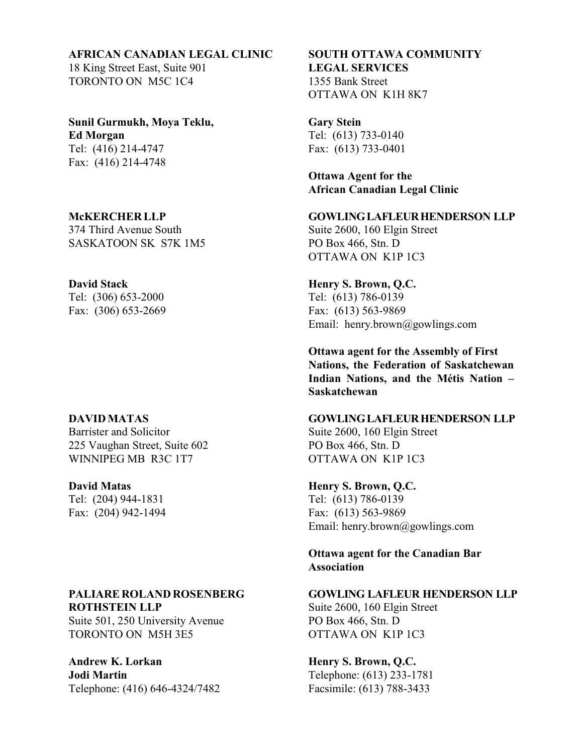# **AFRICAN CANADIAN LEGAL CLINIC SOUTH OTTAWA COMMUNITY**

18 King Street East, Suite 901 **LEGAL SERVICES**  TORONTO ON M5C 1C4 1355 Bank Street

**Sunil Gurmukh, Moya Teklu, Gary Stein Ed Morgan** Tel: (613) 733-0140 Tel: (416) 214-4747 Fax: (613) 733-0401 Fax: (416) 214-4748

374 Third Avenue South Suite 2600, 160 Elgin Street SASKATOON SK S7K 1M5 PO Box 466, Stn. D

Tel: (306) 653-2000 Tel: (613) 786-0139

Barrister and Solicitor Suite 2600, 160 Elgin Street 225 Vaughan Street, Suite 602 PO Box 466, Stn. D WINNIPEG MB R3C 1T7 OTTAWA ON K1P 1C3

# **ROTHSTEIN LLP** Suite 2600, 160 Elgin Street

Suite 501, 250 University Avenue PO Box 466, Stn. D TORONTO ON M5H 3E5 OTTAWA ON K1P 1C3

Andrew K. Lorkan **Henry S. Brown, Q.C. Jodi Martin** Telephone: (613) 233-1781

OTTAWA ON K1H 8K7

**Ottawa Agent for the African Canadian Legal Clinic**

# **McKERCHER LLP GOWLING LAFLEUR HENDERSON LLP**

OTTAWA ON K1P 1C3

# **David Stack Henry S. Brown, Q.C.**

Fax: (306) 653-2669 Fax: (613) 563-9869 Email: henry.brown@gowlings.com

> **Ottawa agent for the Assembly of First Nations, the Federation of Saskatchewan Indian Nations, and the Métis Nation – Saskatchewan**

## **DAVID MATAS GOWLING LAFLEUR HENDERSON LLP**

**David Matas Henry S. Brown, Q.C.**

Tel: (204) 944-1831 Tel: (613) 786-0139 Fax: (204) 942-1494 Fax: (613) 563-9869 Email: henry.brown@gowlings.com

> **Ottawa agent for the Canadian Bar Association**

# **PALIARE ROLAND ROSENBERG GOWLING LAFLEUR HENDERSON LLP**

Telephone: (416) 646-4324/7482 Facsimile: (613) 788-3433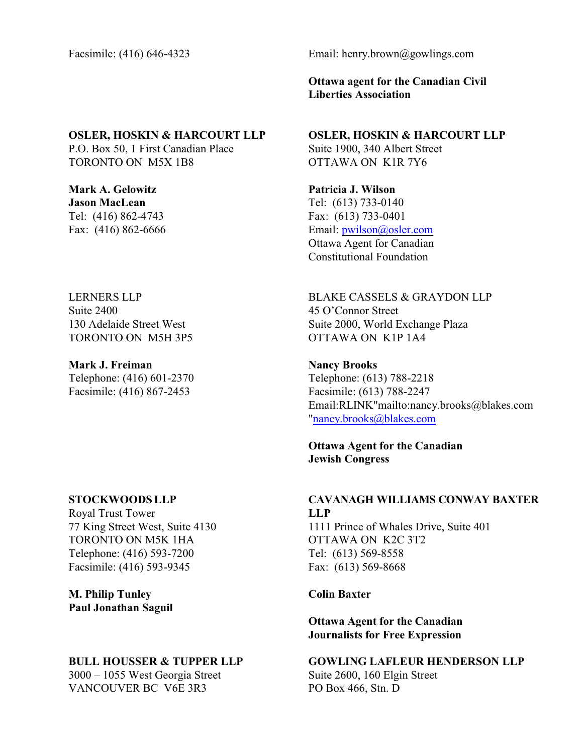# **OSLER, HOSKIN & HARCOURT LLP OSLER, HOSKIN & HARCOURT LLP**

P.O. Box 50, 1 First Canadian Place Suite 1900, 340 Albert Street TORONTO ON M5X 1B8 OTTAWA ON K1R 7Y6

**Mark A. Gelowitz Patricia J. Wilson Jason MacLean** Tel: (613) 733-0140 Tel: (416) 862-4743 Fax: (613) 733-0401

Suite 2400 45 O'Connor Street TORONTO ON M5H 3P5 OTTAWA ON K1P 1A4

**Mark J. Freiman Nancy Brooks** Telephone: (416) 601-2370 Telephone: (613) 788-2218 Facsimile: (416) 867-2453 Facsimile: (613) 788-2247

Royal Trust Tower **LLP** 77 King Street West, Suite 4130 1111 Prince of Whales Drive, Suite 401 TORONTO ON M5K 1HA OTTAWA ON K2C 3T2 Telephone: (416) 593-7200 Tel: (613) 569-8558 Facsimile: (416) 593-9345 Fax: (613) 569-8668

**M. Philip Tunley Colin Baxter Paul Jonathan Saguil**

3000 – 1055 West Georgia Street Suite 2600, 160 Elgin Street VANCOUVER BC V6E 3R3 PO Box 466, Stn. D

Facsimile: (416) 646-4323 Email: henry.brown@gowlings.com

**Ottawa agent for the Canadian Civil Liberties Association**

Fax: (416) 862-6666 Email: [pwilson@osler.com](mailto:pwilson@osler.com) Ottawa Agent for Canadian Constitutional Foundation

LERNERS LLP BLAKE CASSELS & GRAYDON LLP 130 Adelaide Street West Suite 2000, World Exchange Plaza

> Email:RLINK"mailto:nancy.brooks@blakes.com "nancy.brooks@blakes.com

**Ottawa Agent for the Canadian Jewish Congress**

# **STOCKWOODSLLP CAVANAGH WILLIAMS CONWAY BAXTER**

**Ottawa Agent for the Canadian Journalists for Free Expression**

# **BULL HOUSSER & TUPPER LLP GOWLING LAFLEUR HENDERSON LLP**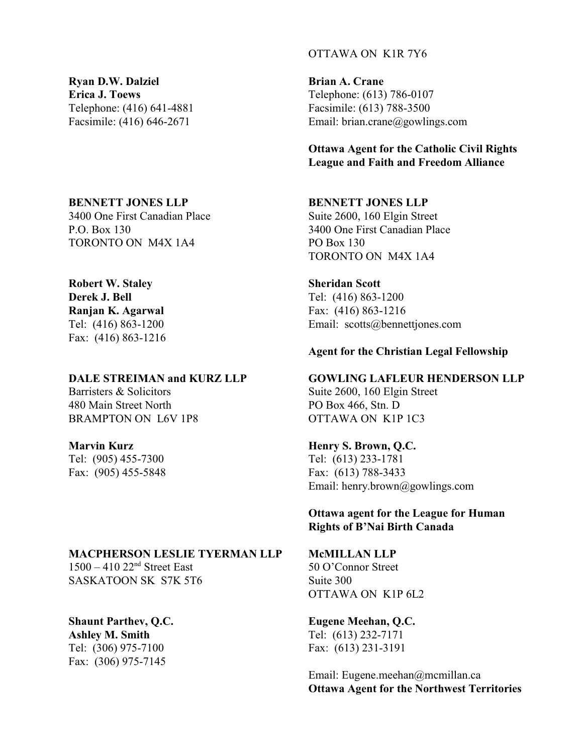**Ryan D.W. Dalziel <b>Brian A. Crane Erica J. Toews** Telephone: (613) 786-0107 Telephone: (416) 641-4881 Facsimile: (613) 788-3500

3400 One First Canadian Place Suite 2600, 160 Elgin Street P.O. Box 130 3400 One First Canadian Place TORONTO ON M4X 1A4 PO Box 130

# **Robert W. Staley Sheridan Scott**

**Ranjan K. Agarwal** Fax: (416) 863-1216 Fax: (416) 863-1216

Barristers & Solicitors Suite 2600, 160 Elgin Street 480 Main Street North PO Box 466, Stn. D BRAMPTON ON L6V 1P8 OTTAWA ON K1P 1C3

Fax: (905) 455-5848 Fax: (613) 788-3433

### **MACPHERSON LESLIE TYERMAN LLP McMILLAN LLP**

 $1500 - 410$   $22<sup>nd</sup>$  Street East SASKATOON SK S7K 5T6 Suite 300

**Ashley M. Smith** Tel: (613) 232-7171 Tel: (306) 975-7100 Fax: (613) 231-3191 Fax: (306) 975-7145

# OTTAWA ON K1R 7Y6

Facsimile: (416) 646-2671 Email: brian.crane@gowlings.com

**Ottawa Agent for the Catholic Civil Rights League and Faith and Freedom Alliance** 

## **BENNETT JONES LLP BENNETT JONES LLP**

TORONTO ON M4X 1A4

**Derek J. Bell** Tel: (416) 863-1200 Tel: (416) 863-1200 Email: scotts@bennettjones.com

# **Agent for the Christian Legal Fellowship**

# **DALE STREIMAN and KURZ LLP GOWLING LAFLEUR HENDERSON LLP**

# **Marvin Kurz Henry S. Brown, Q.C.**

Tel: (905) 455-7300 Tel: (613) 233-1781 Email: henry.brown@gowlings.com

> **Ottawa agent for the League for Human Rights of B'Nai Birth Canada**

 50 O'Connor Street OTTAWA ON K1P 6L2

# **Shaunt Parthev, Q.C. Eugene Meehan, Q.C.**

Email: Eugene.meehan@mcmillan.ca **Ottawa Agent for the Northwest Territories**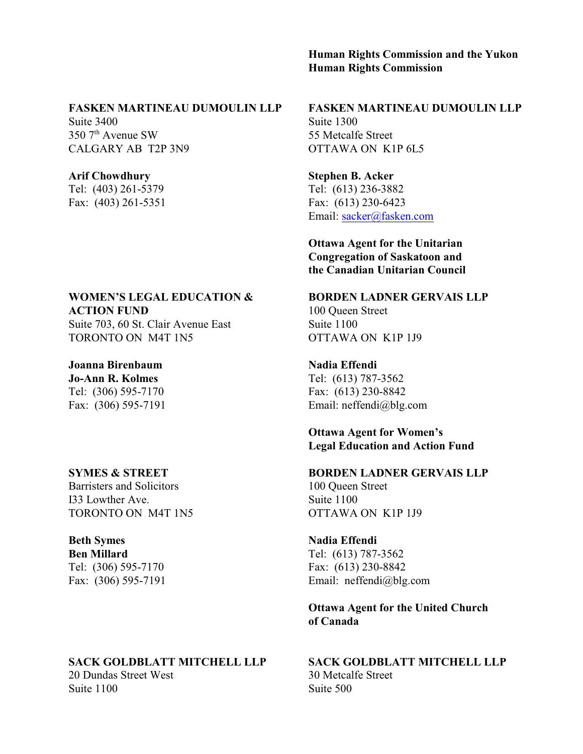# **Human Rights Commission and the Yukon Human Rights Commission**

## **FASKEN MARTINEAU DUMOULIN LLP FASKEN MARTINEAU DUMOULIN LLP**

Suite 3400 Suite 1300  $350$   $7<sup>th</sup>$  Avenue SW 55 Metcalfe Street CALGARY AB T2P 3N9 OTTAWA ON K1P 6L5

# **ACTION FUND** 100 Queen Street

Suite 703, 60 St. Clair Avenue East Suite 1100 TORONTO ON M4T 1N5 OTTAWA ON K1P 1J9

**Joanna Birenbaum Nadia Effendi Jo-Ann R. Kolmes** Tel: (613) 787-3562 Tel: (306) 595-7170 Fax: (613) 230-8842

Barristers and Solicitors 100 Queen Street I33 Lowther Ave. Suite 1100 TORONTO ON M4T 1N5 OTTAWA ON K1P 1J9

**Ben Millard** Tel: (613) 787-3562 Tel: (306) 595-7170 Fax: (613) 230-8842

### **SACK GOLDBLATT MITCHELL LLP SACK GOLDBLATT MITCHELL LLP**

20 Dundas Street West 30 Metcalfe Street Suite 1100 Suite 500

Arif Chowdhury **Stephen B. Acker** Tel: (403) 261-5379 Tel: (613) 236-3882 Fax: (403) 261-5351 Fax: (613) 230-6423 Email: [sacker@fasken.com](mailto:sacker@fasken.com)

> **Ottawa Agent for the Unitarian Congregation of Saskatoon and the Canadian Unitarian Council**

## **WOMEN'S LEGAL EDUCATION & BORDEN LADNER GERVAIS LLP**

Fax: (306) 595-7191 Email: neffendi@blg.com

**Ottawa Agent for Women's Legal Education and Action Fund** 

# **SYMES & STREET BORDEN LADNER GERVAIS LLP**

# **Beth Symes Nadia Effendi**

Fax: (306) 595-7191 Email: neffendi@blg.com

# **Ottawa Agent for the United Church of Canada**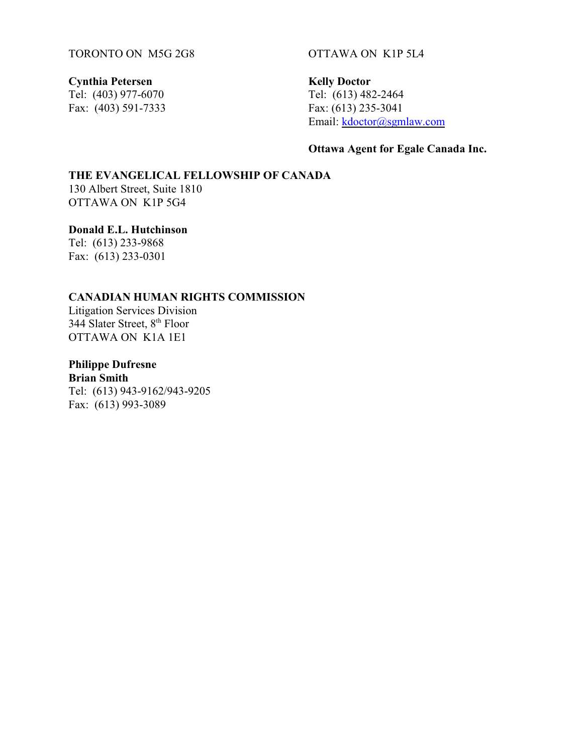TORONTO ON M5G 2G8 OTTAWA ON K1P 5L4

Tel: (403) 977-6070<br>
Fax: (403) 591-7333<br>
Fax: (613) 235-3041 Fax:  $(403)$  591-7333

**Cynthia Petersen Kelly Doctor**<br> **Cynthia Petersen Kelly Doctor**<br> **Cel:** (403) 977-6070 **Tel:** (613) 482-2464 Email: [kdoctor@sgmlaw.com](mailto:kdoctor@sgmlaw.com)

# **Ottawa Agent for Egale Canada Inc.**

# **THE EVANGELICAL FELLOWSHIP OF CANADA** 130 Albert Street, Suite 1810

OTTAWA ON K1P 5G4

**Donald E.L. Hutchinson**  Tel: (613) 233-9868

Fax: (613) 233-0301

# **CANADIAN HUMAN RIGHTS COMMISSION**

Litigation Services Division 344 Slater Street,  $8<sup>th</sup>$  Floor OTTAWA ON K1A 1E1

**Philippe Dufresne Brian Smith** Tel: (613) 943-9162/943-9205 Fax: (613) 993-3089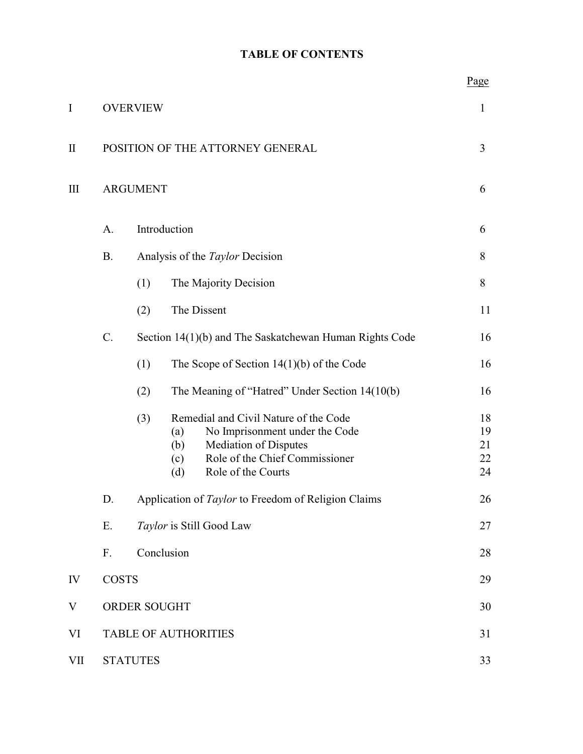# **TABLE OF CONTENTS**

|              |                 |                                                         |                                                                                                                                                                                             | <u>rage</u>                |  |
|--------------|-----------------|---------------------------------------------------------|---------------------------------------------------------------------------------------------------------------------------------------------------------------------------------------------|----------------------------|--|
| $\mathbf I$  |                 | <b>OVERVIEW</b>                                         |                                                                                                                                                                                             |                            |  |
| $\mathbf{I}$ |                 | POSITION OF THE ATTORNEY GENERAL                        |                                                                                                                                                                                             |                            |  |
| Ш            | <b>ARGUMENT</b> |                                                         |                                                                                                                                                                                             |                            |  |
|              | A.              | Introduction                                            |                                                                                                                                                                                             |                            |  |
|              | <b>B.</b>       | Analysis of the <i>Taylor</i> Decision                  |                                                                                                                                                                                             |                            |  |
|              |                 | (1)                                                     | The Majority Decision                                                                                                                                                                       | 8                          |  |
|              |                 | (2)                                                     | The Dissent                                                                                                                                                                                 | 11                         |  |
|              | C.              | Section 14(1)(b) and The Saskatchewan Human Rights Code |                                                                                                                                                                                             |                            |  |
|              |                 | (1)                                                     | The Scope of Section $14(1)(b)$ of the Code                                                                                                                                                 | 16                         |  |
|              |                 | (2)                                                     | The Meaning of "Hatred" Under Section 14(10(b)                                                                                                                                              | 16                         |  |
|              |                 | (3)                                                     | Remedial and Civil Nature of the Code<br>No Imprisonment under the Code<br>(a)<br><b>Mediation of Disputes</b><br>(b)<br>Role of the Chief Commissioner<br>(c)<br>Role of the Courts<br>(d) | 18<br>19<br>21<br>22<br>24 |  |
|              | D.              | Application of Taylor to Freedom of Religion Claims     |                                                                                                                                                                                             |                            |  |
|              | Ε.              | Taylor is Still Good Law                                |                                                                                                                                                                                             |                            |  |
|              | F.              | Conclusion                                              |                                                                                                                                                                                             |                            |  |
| IV           |                 | <b>COSTS</b>                                            |                                                                                                                                                                                             |                            |  |
| V            |                 | ORDER SOUGHT<br>30                                      |                                                                                                                                                                                             |                            |  |
| VI           |                 | 31<br><b>TABLE OF AUTHORITIES</b>                       |                                                                                                                                                                                             |                            |  |
| VII          | <b>STATUTES</b> |                                                         |                                                                                                                                                                                             | 33                         |  |

 $p_{90P}$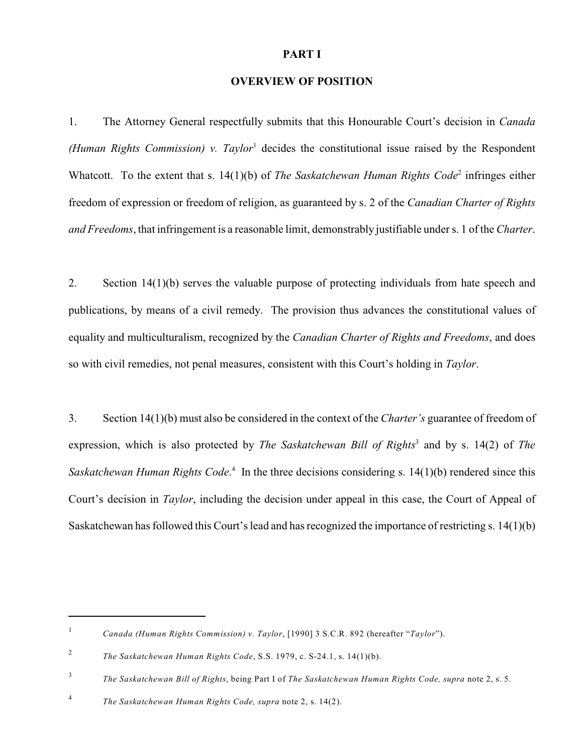### **PART I**

## **OVERVIEW OF POSITION**

1. The Attorney General respectfully submits that this Honourable Court's decision in *Canada (Human Rights Commission) v. Taylor*<sup>1</sup> decides the constitutional issue raised by the Respondent Whatcott. To the extent that s. 14(1)(b) of *The Saskatchewan Human Rights Code*<sup>2</sup> infringes either freedom of expression or freedom of religion, as guaranteed by s. 2 of the *Canadian Charter of Rights and Freedoms*, that infringement is a reasonable limit, demonstrably justifiable under s. 1 of the *Charter*.

2. Section 14(1)(b) serves the valuable purpose of protecting individuals from hate speech and publications, by means of a civil remedy. The provision thus advances the constitutional values of equality and multiculturalism, recognized by the *Canadian Charter of Rights and Freedoms*, and does so with civil remedies, not penal measures, consistent with this Court's holding in *Taylor*.

3. Section 14(1)(b) must also be considered in the context of the *Charter's* guarantee of freedom of expression, which is also protected by *The Saskatchewan Bill of Rights*<sup>3</sup> and by s. 14(2) of *The* Saskatchewan Human Rights Code.<sup>4</sup> In the three decisions considering s. 14(1)(b) rendered since this Court's decision in *Taylor*, including the decision under appeal in this case, the Court of Appeal of Saskatchewan has followed this Court's lead and has recognized the importance of restricting s. 14(1)(b)

*Canada (Human Rights Commission) v. Taylor*, [1990] 3 S.C.R. 892 (hereafter "*Taylor*"). <sup>1</sup>

*The Saskatchewan Human Rights Code*, S.S. 1979, c. S-24.1, s. 14(1)(b). <sup>2</sup>

*The Saskatchewan Bill of Rights*, being Part I of *The Saskatchewan Human Rights Code, supra* note 2, s. 5. <sup>3</sup>

*The Saskatchewan Human Rights Code, supra* note 2, s. 14(2). <sup>4</sup>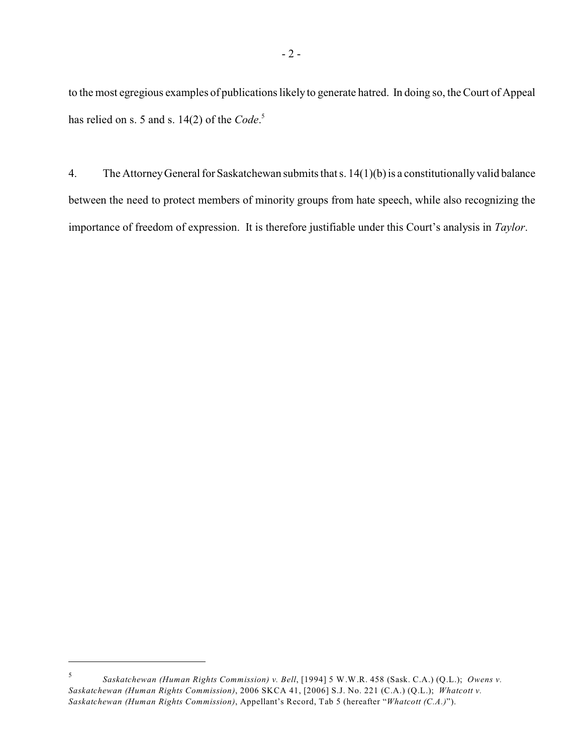to the most egregious examples of publications likely to generate hatred. In doing so, the Court of Appeal has relied on s. 5 and s. 14(2) of the *Code*. 5

4. The Attorney General for Saskatchewan submits that s. 14(1)(b) is a constitutionally valid balance between the need to protect members of minority groups from hate speech, while also recognizing the importance of freedom of expression. It is therefore justifiable under this Court's analysis in *Taylor*.

*Saskatchewan (Human Rights Commission) v. Bell*, [1994] 5 W.W.R. 458 (Sask. C.A.) (Q.L.); *Owens v.* 5 *Saskatchewan (Human Rights Commission)*, 2006 SKCA 41, [2006] S.J. No. 221 (C.A.) (Q.L.); *Whatcott v. Saskatchewan (Human Rights Commission)*, Appellant's Record, Tab 5 (hereafter "*Whatcott (C.A.)*").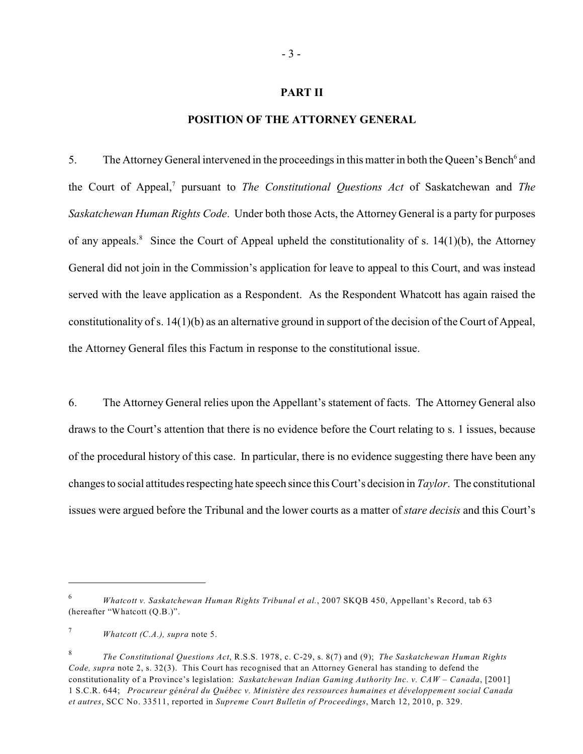### **PART II**

### **POSITION OF THE ATTORNEY GENERAL**

5. The Attorney General intervened in the proceedings in this matter in both the Queen's Bench<sup>6</sup> and the Court of Appeal,<sup>7</sup> pursuant to *The Constitutional Questions Act* of Saskatchewan and *The Saskatchewan Human Rights Code*. Under both those Acts, the Attorney General is a party for purposes of any appeals.<sup>8</sup> Since the Court of Appeal upheld the constitutionality of s.  $14(1)(b)$ , the Attorney General did not join in the Commission's application for leave to appeal to this Court, and was instead served with the leave application as a Respondent. As the Respondent Whatcott has again raised the constitutionality of s. 14(1)(b) as an alternative ground in support of the decision of the Court of Appeal, the Attorney General files this Factum in response to the constitutional issue.

6. The Attorney General relies upon the Appellant's statement of facts. The Attorney General also draws to the Court's attention that there is no evidence before the Court relating to s. 1 issues, because of the procedural history of this case. In particular, there is no evidence suggesting there have been any changes to social attitudes respecting hate speech since this Court's decision in *Taylor*. The constitutional issues were argued before the Tribunal and the lower courts as a matter of *stare decisis* and this Court's

<sup>&</sup>lt;sup>6</sup> *Whatcott v. Saskatchewan Human Rights Tribunal et al.*, 2007 SKQB 450, Appellant's Record, tab 63 (hereafter "Whatcott (Q.B.)".

*Whatcott (C.A.), supra* note 5.

*The Constitutional Questions Act*, R.S.S. 1978, c. C-29, s. 8(7) and (9); *The Saskatchewan Human Rights* <sup>8</sup> *Code, supra* note 2, s. 32(3). This Court has recognised that an Attorney General has standing to defend the constitutionality of a Province's legislation: *Saskatchewan Indian Gaming Authority Inc. v. CAW – Canada*, [2001] 1 S.C.R. 644; *Procureur général du Québec v. Ministère des ressources humaines et développement social Canada et autres*, SCC No. 33511, reported in *Supreme Court Bulletin of Proceedings*, March 12, 2010, p. 329.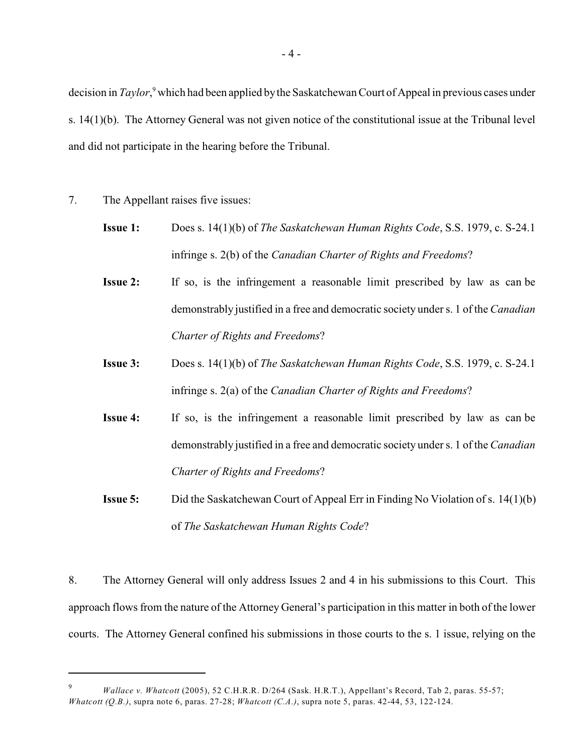decision in *Taylor*,<sup>9</sup> which had been applied by the Saskatchewan Court of Appeal in previous cases under s. 14(1)(b). The Attorney General was not given notice of the constitutional issue at the Tribunal level and did not participate in the hearing before the Tribunal.

- 7. The Appellant raises five issues:
	- **Issue 1:** Does s. 14(1)(b) of *The Saskatchewan Human Rights Code*, S.S. 1979, c. S-24.1 infringe s. 2(b) of the *Canadian Charter of Rights and Freedoms*?
	- **Issue 2:** If so, is the infringement a reasonable limit prescribed by law as can be demonstrably justified in a free and democratic society under s. 1 of the *Canadian Charter of Rights and Freedoms*?
	- **Issue 3:** Does s. 14(1)(b) of *The Saskatchewan Human Rights Code*, S.S. 1979, c. S-24.1 infringe s. 2(a) of the *Canadian Charter of Rights and Freedoms*?
	- **Issue 4:** If so, is the infringement a reasonable limit prescribed by law as can be demonstrably justified in a free and democratic society under s. 1 of the *Canadian Charter of Rights and Freedoms*?
	- **Issue 5:** Did the Saskatchewan Court of Appeal Err in Finding No Violation of s. 14(1)(b) of *The Saskatchewan Human Rights Code*?

8. The Attorney General will only address Issues 2 and 4 in his submissions to this Court. This approach flows from the nature of the Attorney General's participation in this matter in both of the lower courts. The Attorney General confined his submissions in those courts to the s. 1 issue, relying on the

*Wallace v. Whatcott* (2005), 52 C.H.R.R. D/264 (Sask. H.R.T.), Appellant's Record, Tab 2, paras. 55-57; 9 *Whatcott (Q.B.)*, supra note 6, paras. 27-28; *Whatcott (C.A.)*, supra note 5, paras. 42-44, 53, 122-124.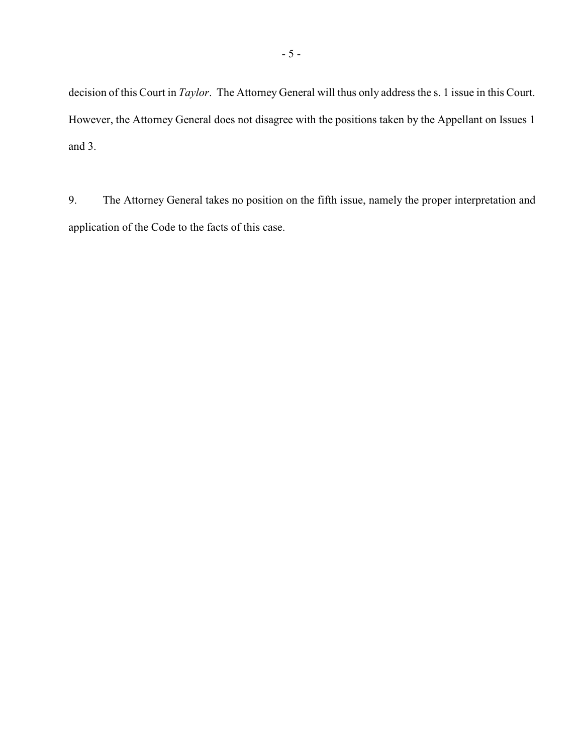decision of this Court in *Taylor*. The Attorney General will thus only address the s. 1 issue in this Court. However, the Attorney General does not disagree with the positions taken by the Appellant on Issues 1 and 3.

9. The Attorney General takes no position on the fifth issue, namely the proper interpretation and application of the Code to the facts of this case.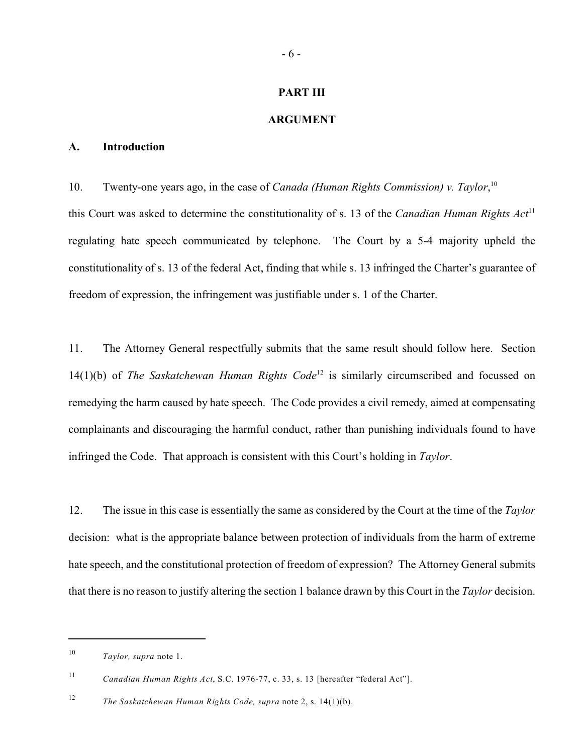### **PART III**

### **ARGUMENT**

### **A. Introduction**

10. Twenty-one years ago, in the case of *Canada (Human Rights Commission) v. Taylor*, 10 this Court was asked to determine the constitutionality of s. 13 of the *Canadian Human Rights Act*<sup>11</sup> regulating hate speech communicated by telephone. The Court by a 5-4 majority upheld the constitutionality of s. 13 of the federal Act, finding that while s. 13 infringed the Charter's guarantee of freedom of expression, the infringement was justifiable under s. 1 of the Charter.

11. The Attorney General respectfully submits that the same result should follow here. Section 14(1)(b) of *The Saskatchewan Human Rights Code*<sup>12</sup> is similarly circumscribed and focussed on remedying the harm caused by hate speech. The Code provides a civil remedy, aimed at compensating complainants and discouraging the harmful conduct, rather than punishing individuals found to have infringed the Code. That approach is consistent with this Court's holding in *Taylor*.

12. The issue in this case is essentially the same as considered by the Court at the time of the *Taylor* decision: what is the appropriate balance between protection of individuals from the harm of extreme hate speech, and the constitutional protection of freedom of expression? The Attorney General submits that there is no reason to justify altering the section 1 balance drawn by this Court in the *Taylor* decision.

 $10$  *Taylor, supra* note 1.

*Canadian Human Rights Act*, S.C. 1976-77, c. 33, s. 13 [hereafter "federal Act"]. <sup>11</sup>

<sup>&</sup>lt;sup>12</sup> *The Saskatchewan Human Rights Code, supra* note 2, s. 14(1)(b).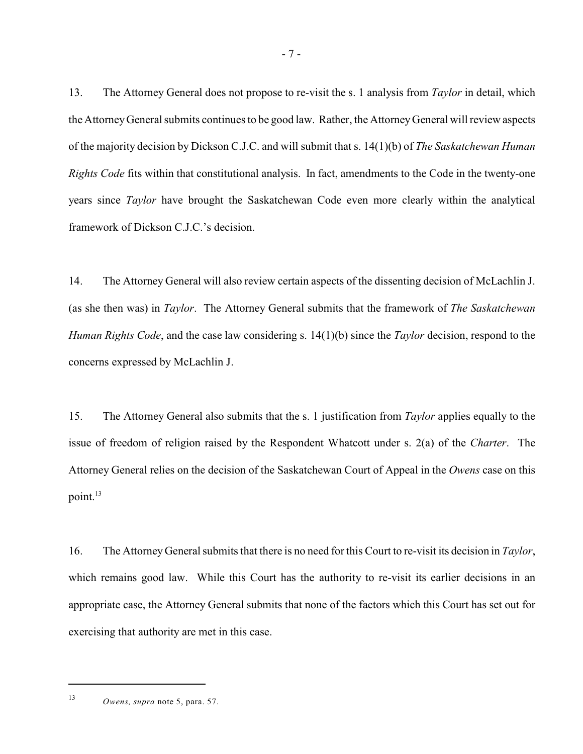13. The Attorney General does not propose to re-visit the s. 1 analysis from *Taylor* in detail, which the Attorney General submits continues to be good law. Rather, the AttorneyGeneral will review aspects of the majority decision by Dickson C.J.C. and will submit that s. 14(1)(b) of *The Saskatchewan Human Rights Code* fits within that constitutional analysis. In fact, amendments to the Code in the twenty-one years since *Taylor* have brought the Saskatchewan Code even more clearly within the analytical framework of Dickson C.J.C.'s decision.

14. The Attorney General will also review certain aspects of the dissenting decision of McLachlin J. (as she then was) in *Taylor*. The Attorney General submits that the framework of *The Saskatchewan Human Rights Code*, and the case law considering s. 14(1)(b) since the *Taylor* decision, respond to the concerns expressed by McLachlin J.

15. The Attorney General also submits that the s. 1 justification from *Taylor* applies equally to the issue of freedom of religion raised by the Respondent Whatcott under s. 2(a) of the *Charter*. The Attorney General relies on the decision of the Saskatchewan Court of Appeal in the *Owens* case on this point. 13

16. The Attorney General submits that there is no need for this Court to re-visit its decision in *Taylor*, which remains good law. While this Court has the authority to re-visit its earlier decisions in an appropriate case, the Attorney General submits that none of the factors which this Court has set out for exercising that authority are met in this case.

<sup>&</sup>lt;sup>13</sup> *Owens, supra* note 5, para. 57.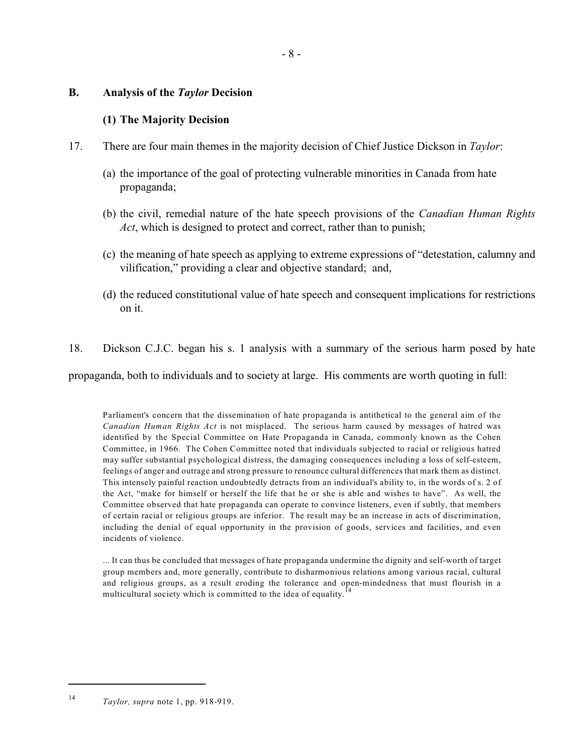# **B. Analysis of the** *Taylor* **Decision**

# **(1) The Majority Decision**

- 17. There are four main themes in the majority decision of Chief Justice Dickson in *Taylor*:
	- (a) the importance of the goal of protecting vulnerable minorities in Canada from hate propaganda;
	- (b) the civil, remedial nature of the hate speech provisions of the *Canadian Human Rights Act*, which is designed to protect and correct, rather than to punish;
	- (c) the meaning of hate speech as applying to extreme expressions of "detestation, calumny and vilification," providing a clear and objective standard; and,
	- (d) the reduced constitutional value of hate speech and consequent implications for restrictions on it.
- 18. Dickson C.J.C. began his s. 1 analysis with a summary of the serious harm posed by hate

propaganda, both to individuals and to society at large. His comments are worth quoting in full:

Parliament's concern that the dissemination of hate propaganda is antithetical to the general aim of the *Canadian Human Rights Act* is not misplaced. The serious harm caused by messages of hatred was identified by the Special Committee on Hate Propaganda in Canada, commonly known as the Cohen Committee, in 1966. The Cohen Committee noted that individuals subjected to racial or religious hatred may suffer substantial psychological distress, the damaging consequences including a loss of self-esteem, feelings of anger and outrage and strong pressure to renounce cultural differences that mark them as distinct. This intensely painful reaction undoubtedly detracts from an individual's ability to, in the words of s. 2 of the Act, "make for himself or herself the life that he or she is able and wishes to have". As well, the Committee observed that hate propaganda can operate to convince listeners, even if subtly, that members of certain racial or religious groups are inferior. The result may be an increase in acts of discrimination, including the denial of equal opportunity in the provision of goods, services and facilities, and even incidents of violence.

... It can thus be concluded that messages of hate propaganda undermine the dignity and self-worth of target group members and, more generally, contribute to disharmonious relations among various racial, cultural and religious groups, as a result eroding the tolerance and open-mindedness that must flourish in a multicultural society which is committed to the idea of equality.<sup>14</sup>

*Taylor, supra* note 1, pp. 918-919.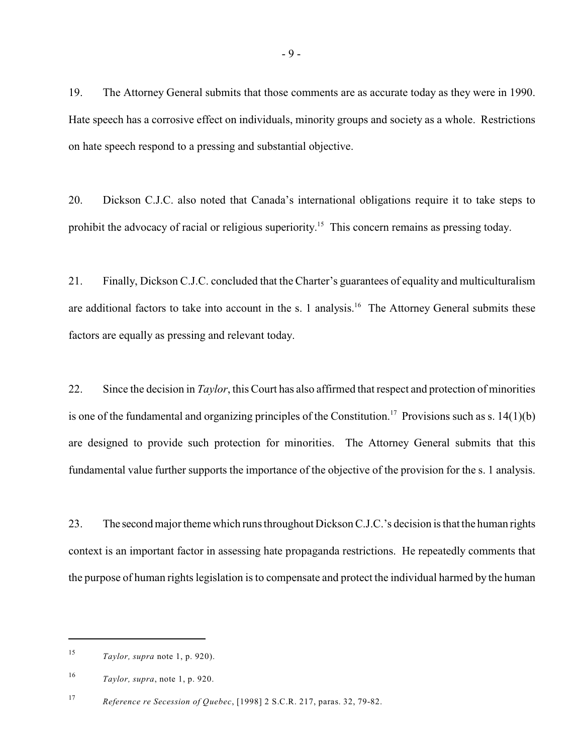19. The Attorney General submits that those comments are as accurate today as they were in 1990. Hate speech has a corrosive effect on individuals, minority groups and society as a whole. Restrictions on hate speech respond to a pressing and substantial objective.

20. Dickson C.J.C. also noted that Canada's international obligations require it to take steps to prohibit the advocacy of racial or religious superiority.<sup>15</sup> This concern remains as pressing today.

21. Finally, Dickson C.J.C. concluded that the Charter's guarantees of equality and multiculturalism are additional factors to take into account in the s. 1 analysis.<sup>16</sup> The Attorney General submits these factors are equally as pressing and relevant today.

22. Since the decision in *Taylor*, this Court has also affirmed that respect and protection of minorities is one of the fundamental and organizing principles of the Constitution.<sup>17</sup> Provisions such as s. 14(1)(b) are designed to provide such protection for minorities. The Attorney General submits that this fundamental value further supports the importance of the objective of the provision for the s. 1 analysis.

23. The second major theme which runs throughout Dickson C.J.C.'s decision is that the human rights context is an important factor in assessing hate propaganda restrictions. He repeatedly comments that the purpose of human rights legislation is to compensate and protect the individual harmed by the human

<sup>&</sup>lt;sup>15</sup> *Taylor, supra* note 1, p. 920).

 $Taylor$ , *supra*, note 1, p. 920.

*Reference re Secession of Quebec*, [1998] 2 S.C.R. 217, paras. 32, 79-82. <sup>17</sup>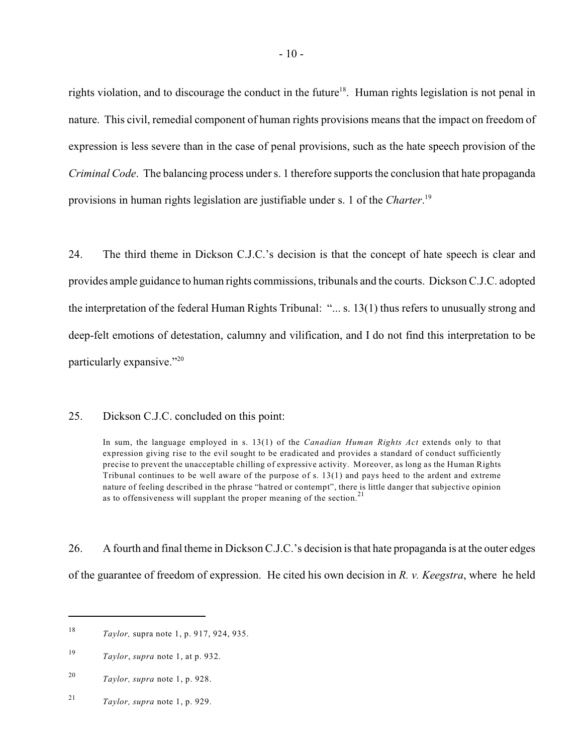rights violation, and to discourage the conduct in the future<sup>18</sup>. Human rights legislation is not penal in nature. This civil, remedial component of human rights provisions means that the impact on freedom of expression is less severe than in the case of penal provisions, such as the hate speech provision of the *Criminal Code*. The balancing process under s. 1 therefore supports the conclusion that hate propaganda provisions in human rights legislation are justifiable under s. 1 of the *Charter*. 19

24. The third theme in Dickson C.J.C.'s decision is that the concept of hate speech is clear and provides ample guidance to human rights commissions, tribunals and the courts. Dickson C.J.C. adopted the interpretation of the federal Human Rights Tribunal: "... s. 13(1) thus refers to unusually strong and deep-felt emotions of detestation, calumny and vilification, and I do not find this interpretation to be particularly expansive."<sup>20</sup>

### 25. Dickson C.J.C. concluded on this point:

In sum, the language employed in s. 13(1) of the *Canadian Human Rights Act* extends only to that expression giving rise to the evil sought to be eradicated and provides a standard of conduct sufficiently precise to prevent the unacceptable chilling of expressive activity. Moreover, as long as the Human Rights Tribunal continues to be well aware of the purpose of s. 13(1) and pays heed to the ardent and extreme nature of feeling described in the phrase "hatred or contempt", there is little danger that subjective opinion as to offensiveness will supplant the proper meaning of the section.<sup>21</sup>

26. A fourth and final theme in Dickson C.J.C.'s decision is that hate propaganda is at the outer edges of the guarantee of freedom of expression. He cited his own decision in *R. v. Keegstra*, where he held

<sup>21</sup> *Taylor, supra* note 1, p. 929.

<sup>&</sup>lt;sup>18</sup> *Taylor*, supra note 1, p. 917, 924, 935.

 $Taylor$ , *supra* note 1, at p. 932.

<sup>&</sup>lt;sup>20</sup> *Taylor, supra* note 1, p. 928.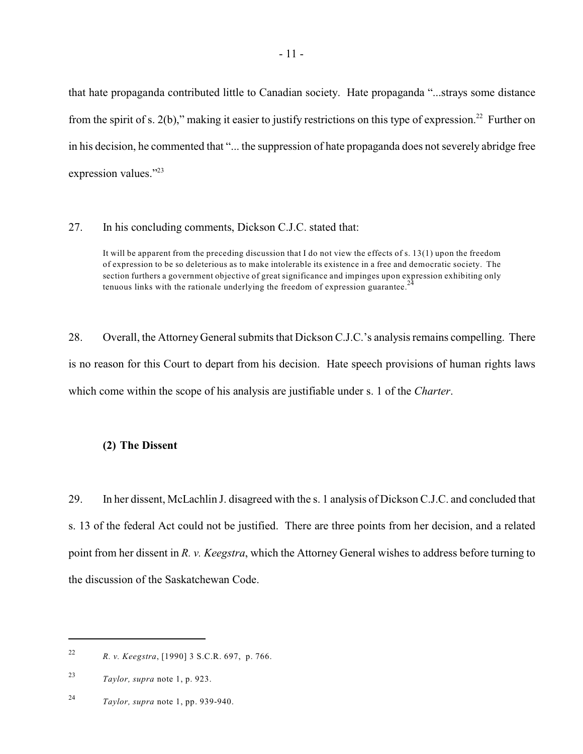that hate propaganda contributed little to Canadian society. Hate propaganda "...strays some distance from the spirit of s. 2(b)," making it easier to justify restrictions on this type of expression.<sup>22</sup> Further on in his decision, he commented that "... the suppression of hate propaganda does not severely abridge free expression values."<sup>23</sup>

27. In his concluding comments, Dickson C.J.C. stated that:

It will be apparent from the preceding discussion that I do not view the effects of s. 13(1) upon the freedom of expression to be so deleterious as to make intolerable its existence in a free and democratic society. The section furthers a government objective of great significance and impinges upon expression exhibiting only tenuous links with the rationale underlying the freedom of expression guarantee.<sup>24</sup>

28. Overall, the Attorney General submits that Dickson C.J.C.'s analysis remains compelling. There is no reason for this Court to depart from his decision. Hate speech provisions of human rights laws which come within the scope of his analysis are justifiable under s. 1 of the *Charter*.

# **(2) The Dissent**

29. In her dissent, McLachlin J. disagreed with the s. 1 analysis of Dickson C.J.C. and concluded that s. 13 of the federal Act could not be justified. There are three points from her decision, and a related point from her dissent in *R. v. Keegstra*, which the Attorney General wishes to address before turning to the discussion of the Saskatchewan Code.

*R. v. Keegstra*, [1990] 3 S.C.R. 697, p. 766. <sup>22</sup>

 $Taylor$ , *supra* note 1, p. 923.

*Taylor, supra* note 1, pp. 939-940. <sup>24</sup>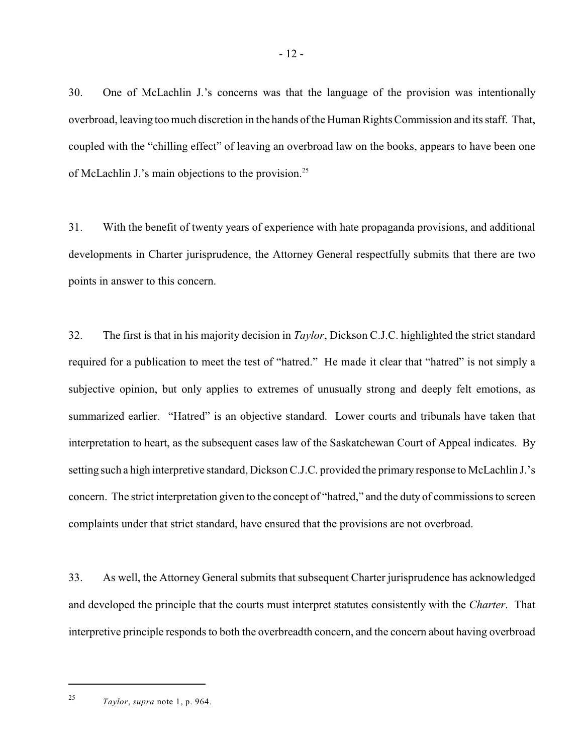30. One of McLachlin J.'s concerns was that the language of the provision was intentionally overbroad, leaving too much discretion in the hands of the Human Rights Commission and its staff. That, coupled with the "chilling effect" of leaving an overbroad law on the books, appears to have been one of McLachlin J.'s main objections to the provision.<sup>25</sup>

31. With the benefit of twenty years of experience with hate propaganda provisions, and additional developments in Charter jurisprudence, the Attorney General respectfully submits that there are two points in answer to this concern.

32. The first is that in his majority decision in *Taylor*, Dickson C.J.C. highlighted the strict standard required for a publication to meet the test of "hatred." He made it clear that "hatred" is not simply a subjective opinion, but only applies to extremes of unusually strong and deeply felt emotions, as summarized earlier. "Hatred" is an objective standard. Lower courts and tribunals have taken that interpretation to heart, as the subsequent cases law of the Saskatchewan Court of Appeal indicates. By setting such a high interpretive standard, Dickson C.J.C. provided the primary response to McLachlin J.'s concern. The strict interpretation given to the concept of "hatred," and the duty of commissions to screen complaints under that strict standard, have ensured that the provisions are not overbroad.

33. As well, the Attorney General submits that subsequent Charter jurisprudence has acknowledged and developed the principle that the courts must interpret statutes consistently with the *Charter*. That interpretive principle responds to both the overbreadth concern, and the concern about having overbroad

*Taylor*, *supra* note 1, p. 964. <sup>25</sup>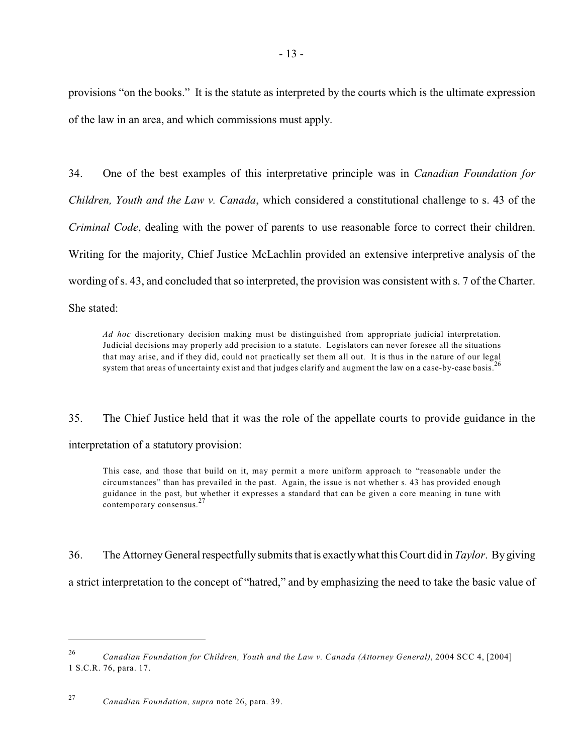provisions "on the books." It is the statute as interpreted by the courts which is the ultimate expression of the law in an area, and which commissions must apply.

34. One of the best examples of this interpretative principle was in *Canadian Foundation for Children, Youth and the Law v. Canada*, which considered a constitutional challenge to s. 43 of the *Criminal Code*, dealing with the power of parents to use reasonable force to correct their children. Writing for the majority, Chief Justice McLachlin provided an extensive interpretive analysis of the wording of s. 43, and concluded that so interpreted, the provision was consistent with s. 7 of the Charter. She stated:

*Ad hoc* discretionary decision making must be distinguished from appropriate judicial interpretation. Judicial decisions may properly add precision to a statute. Legislators can never foresee all the situations that may arise, and if they did, could not practically set them all out. It is thus in the nature of our legal system that areas of uncertainty exist and that judges clarify and augment the law on a case-by-case basis.<sup>26</sup>

35. The Chief Justice held that it was the role of the appellate courts to provide guidance in the interpretation of a statutory provision:

This case, and those that build on it, may permit a more uniform approach to "reasonable under the circumstances" than has prevailed in the past. Again, the issue is not whether s. 43 has provided enough guidance in the past, but whether it expresses a standard that can be given a core meaning in tune with contemporary consensus.<sup>27</sup>

36. The Attorney General respectfullysubmits that is exactlywhat this Court did in *Taylor*. By giving

a strict interpretation to the concept of "hatred," and by emphasizing the need to take the basic value of

*Canadian Foundation for Children, Youth and the Law v. Canada (Attorney General)*, 2004 SCC 4, [2004] <sup>26</sup> 1 S.C.R. 76, para. 17.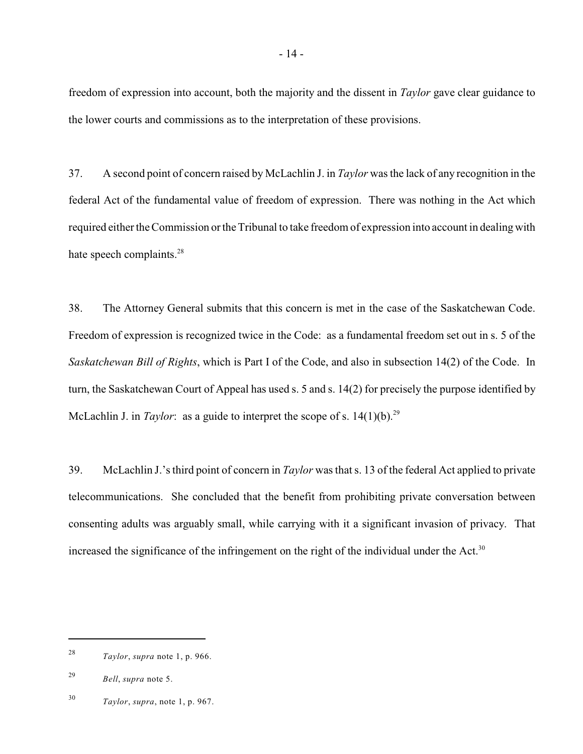freedom of expression into account, both the majority and the dissent in *Taylor* gave clear guidance to the lower courts and commissions as to the interpretation of these provisions.

37. A second point of concern raised by McLachlin J. in *Taylor* was the lack of any recognition in the federal Act of the fundamental value of freedom of expression. There was nothing in the Act which required either the Commission or the Tribunal to take freedom of expression into account in dealing with hate speech complaints.<sup>28</sup>

38. The Attorney General submits that this concern is met in the case of the Saskatchewan Code. Freedom of expression is recognized twice in the Code: as a fundamental freedom set out in s. 5 of the *Saskatchewan Bill of Rights*, which is Part I of the Code, and also in subsection 14(2) of the Code. In turn, the Saskatchewan Court of Appeal has used s. 5 and s. 14(2) for precisely the purpose identified by McLachlin J. in *Taylor*: as a guide to interpret the scope of s. 14(1)(b).<sup>29</sup>

39. McLachlin J.'s third point of concern in *Taylor* was that s. 13 of the federal Act applied to private telecommunications. She concluded that the benefit from prohibiting private conversation between consenting adults was arguably small, while carrying with it a significant invasion of privacy. That increased the significance of the infringement on the right of the individual under the Act.<sup>30</sup>

*Taylor*, *supra* note 1, p. 966. <sup>28</sup>

*Bell*, *supra* note 5. <sup>29</sup>

*Taylor*, *supra*, note 1, p. 967. <sup>30</sup>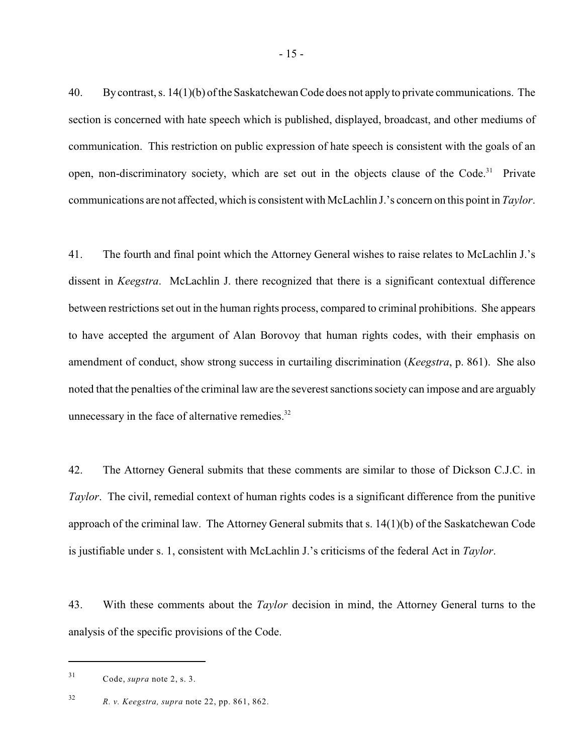40. By contrast, s. 14(1)(b) of the Saskatchewan Code does not applyto private communications. The section is concerned with hate speech which is published, displayed, broadcast, and other mediums of communication. This restriction on public expression of hate speech is consistent with the goals of an open, non-discriminatory society, which are set out in the objects clause of the Code.<sup>31</sup> Private communications are not affected, which is consistent with McLachlin J.'s concern on this point in *Taylor*.

41. The fourth and final point which the Attorney General wishes to raise relates to McLachlin J.'s dissent in *Keegstra*. McLachlin J. there recognized that there is a significant contextual difference between restrictions set out in the human rights process, compared to criminal prohibitions. She appears to have accepted the argument of Alan Borovoy that human rights codes, with their emphasis on amendment of conduct, show strong success in curtailing discrimination (*Keegstra*, p. 861). She also noted that the penalties of the criminal law are the severest sanctionssociety can impose and are arguably unnecessary in the face of alternative remedies. $32$ 

42. The Attorney General submits that these comments are similar to those of Dickson C.J.C. in *Taylor*. The civil, remedial context of human rights codes is a significant difference from the punitive approach of the criminal law. The Attorney General submits that s. 14(1)(b) of the Saskatchewan Code is justifiable under s. 1, consistent with McLachlin J.'s criticisms of the federal Act in *Taylor*.

43. With these comments about the *Taylor* decision in mind, the Attorney General turns to the analysis of the specific provisions of the Code.

 $^{31}$  Code, *supra* note 2, s. 3.

*R. v. Keegstra, supra* note 22, pp. 861, 862. <sup>32</sup>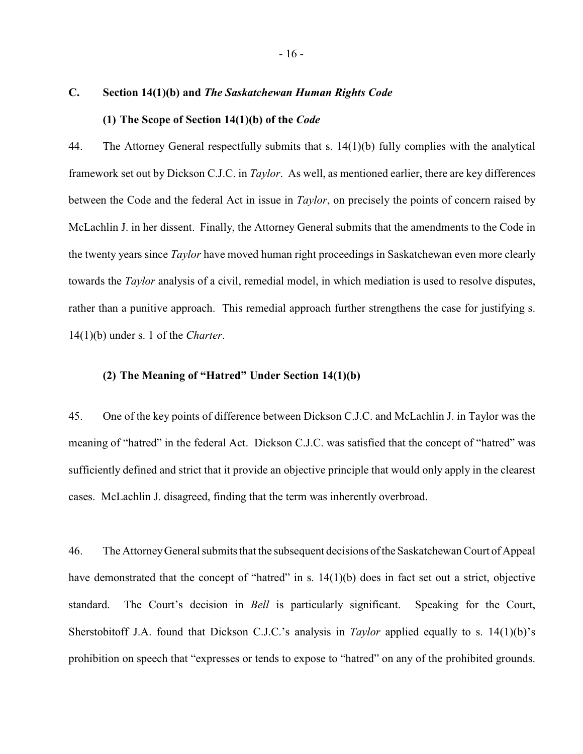### **C. Section 14(1)(b) and** *The Saskatchewan Human Rights Code*

### **(1) The Scope of Section 14(1)(b) of the** *Code*

44. The Attorney General respectfully submits that s. 14(1)(b) fully complies with the analytical framework set out by Dickson C.J.C. in *Taylor*. As well, as mentioned earlier, there are key differences between the Code and the federal Act in issue in *Taylor*, on precisely the points of concern raised by McLachlin J. in her dissent. Finally, the Attorney General submits that the amendments to the Code in the twenty years since *Taylor* have moved human right proceedings in Saskatchewan even more clearly towards the *Taylor* analysis of a civil, remedial model, in which mediation is used to resolve disputes, rather than a punitive approach. This remedial approach further strengthens the case for justifying s. 14(1)(b) under s. 1 of the *Charter*.

### **(2) The Meaning of "Hatred" Under Section 14(1)(b)**

45. One of the key points of difference between Dickson C.J.C. and McLachlin J. in Taylor was the meaning of "hatred" in the federal Act. Dickson C.J.C. was satisfied that the concept of "hatred" was sufficiently defined and strict that it provide an objective principle that would only apply in the clearest cases. McLachlin J. disagreed, finding that the term was inherently overbroad.

46. The Attorney General submits that the subsequent decisions of the Saskatchewan Court of Appeal have demonstrated that the concept of "hatred" in s. 14(1)(b) does in fact set out a strict, objective standard. The Court's decision in *Bell* is particularly significant. Speaking for the Court, Sherstobitoff J.A. found that Dickson C.J.C.'s analysis in *Taylor* applied equally to s. 14(1)(b)'s prohibition on speech that "expresses or tends to expose to "hatred" on any of the prohibited grounds.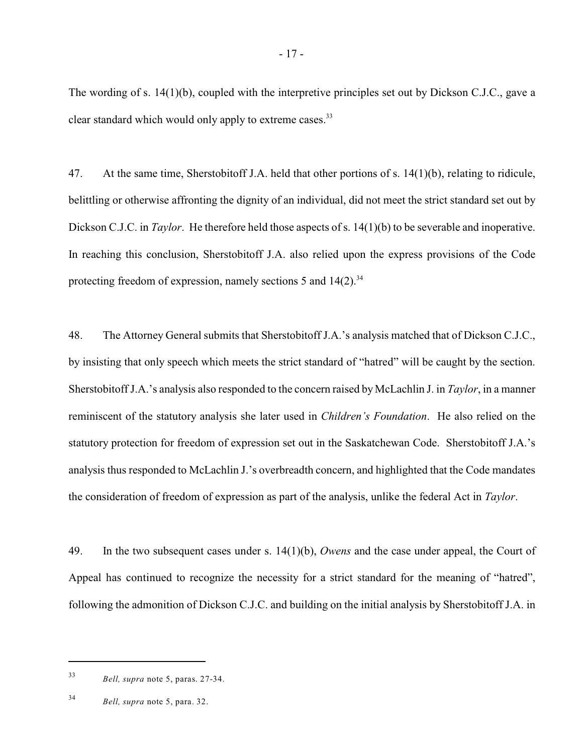The wording of s. 14(1)(b), coupled with the interpretive principles set out by Dickson C.J.C., gave a clear standard which would only apply to extreme cases.<sup>33</sup>

47. At the same time, Sherstobitoff J.A. held that other portions of s. 14(1)(b), relating to ridicule, belittling or otherwise affronting the dignity of an individual, did not meet the strict standard set out by Dickson C.J.C. in *Taylor*. He therefore held those aspects of s. 14(1)(b) to be severable and inoperative. In reaching this conclusion, Sherstobitoff J.A. also relied upon the express provisions of the Code protecting freedom of expression, namely sections 5 and  $14(2)$ .<sup>34</sup>

48. The Attorney General submits that Sherstobitoff J.A.'s analysis matched that of Dickson C.J.C., by insisting that only speech which meets the strict standard of "hatred" will be caught by the section. Sherstobitoff J.A.'s analysis also responded to the concern raised by McLachlin J. in *Taylor*, in a manner reminiscent of the statutory analysis she later used in *Children's Foundation*. He also relied on the statutory protection for freedom of expression set out in the Saskatchewan Code. Sherstobitoff J.A.'s analysis thus responded to McLachlin J.'s overbreadth concern, and highlighted that the Code mandates the consideration of freedom of expression as part of the analysis, unlike the federal Act in *Taylor*.

49. In the two subsequent cases under s. 14(1)(b), *Owens* and the case under appeal, the Court of Appeal has continued to recognize the necessity for a strict standard for the meaning of "hatred", following the admonition of Dickson C.J.C. and building on the initial analysis by Sherstobitoff J.A. in

*Bell, supra* note 5, paras. 27-34. <sup>33</sup>

<sup>&</sup>lt;sup>34</sup> *Bell, supra* note 5, para. 32.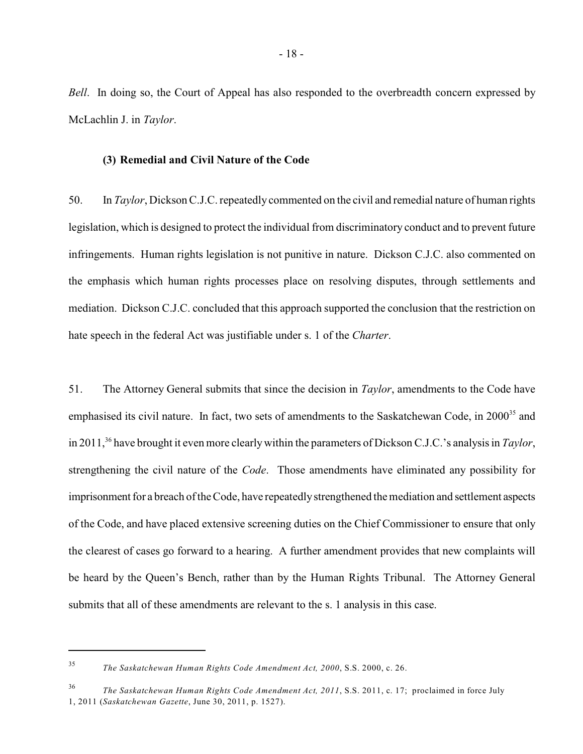*Bell.* In doing so, the Court of Appeal has also responded to the overbreadth concern expressed by McLachlin J. in *Taylor*.

### **(3) Remedial and Civil Nature of the Code**

50. In *Taylor*, DicksonC.J.C.repeatedly commented on the civil and remedial nature of human rights legislation, which is designed to protect the individual from discriminatory conduct and to prevent future infringements. Human rights legislation is not punitive in nature. Dickson C.J.C. also commented on the emphasis which human rights processes place on resolving disputes, through settlements and mediation. Dickson C.J.C. concluded that this approach supported the conclusion that the restriction on hate speech in the federal Act was justifiable under s. 1 of the *Charter*.

51. The Attorney General submits that since the decision in *Taylor*, amendments to the Code have emphasised its civil nature. In fact, two sets of amendments to the Saskatchewan Code, in 2000<sup>35</sup> and in 2011,<sup>36</sup> have brought it even more clearly within the parameters of Dickson C.J.C.'s analysis in *Taylor*, strengthening the civil nature of the *Code*. Those amendments have eliminated any possibility for imprisonment for a breach of the Code, have repeatedly strengthened the mediation and settlement aspects of the Code, and have placed extensive screening duties on the Chief Commissioner to ensure that only the clearest of cases go forward to a hearing. A further amendment provides that new complaints will be heard by the Queen's Bench, rather than by the Human Rights Tribunal. The Attorney General submits that all of these amendments are relevant to the s. 1 analysis in this case.

*The Saskatchewan Human Rights Code Amendment Act, 2000*, S.S. 2000, c. 26. <sup>35</sup>

*The Saskatchewan Human Rights Code Amendment Act, 2011*, S.S. 2011, c. 17; proclaimed in force July <sup>36</sup> 1, 2011 (*Saskatchewan Gazette*, June 30, 2011, p. 1527).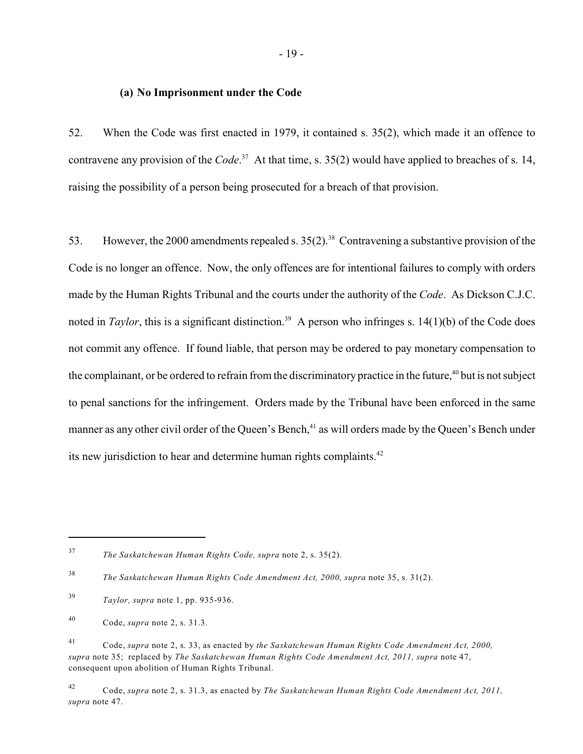### **(a) No Imprisonment under the Code**

52. When the Code was first enacted in 1979, it contained s. 35(2), which made it an offence to contravene any provision of the *Code*.<sup>37</sup> At that time, s. 35(2) would have applied to breaches of s. 14, raising the possibility of a person being prosecuted for a breach of that provision.

53. However, the 2000 amendments repealed s.  $35(2)^{38}$  Contravening a substantive provision of the Code is no longer an offence. Now, the only offences are for intentional failures to comply with orders made by the Human Rights Tribunal and the courts under the authority of the *Code*. As Dickson C.J.C. noted in *Taylor*, this is a significant distinction.<sup>39</sup> A person who infringes s. 14(1)(b) of the Code does not commit any offence. If found liable, that person may be ordered to pay monetary compensation to the complainant, or be ordered to refrain from the discriminatory practice in the future,<sup>40</sup> but is not subject to penal sanctions for the infringement. Orders made by the Tribunal have been enforced in the same manner as any other civil order of the Queen's Bench,<sup>41</sup> as will orders made by the Queen's Bench under its new jurisdiction to hear and determine human rights complaints.<sup>42</sup>

*The Saskatchewan Human Rights Code, supra* note 2, s. 35(2). <sup>37</sup>

*The Saskatchewan Human Rights Code Amendment Act, 2000, supra* note 35, s. 31(2). <sup>38</sup>

- *Taylor, supra* note 1, pp. 935-936. <sup>39</sup>
- Code, *supra* note 2, s. 31.3. <sup>40</sup>

Code, *supra* note 2, s. 33, as enacted by *the Saskatchewan Human Rights Code Amendment Act, 2000,* <sup>41</sup> *supra* note 35; replaced by *The Saskatchewan Human Rights Code Amendment Act, 2011, supra* note 47, consequent upon abolition of Human Rights Tribunal.

Code, *supra* note 2, s. 31.3, as enacted by *The Saskatchewan Human Rights Code Amendment Act, 2011,* <sup>42</sup> *supra* note 47.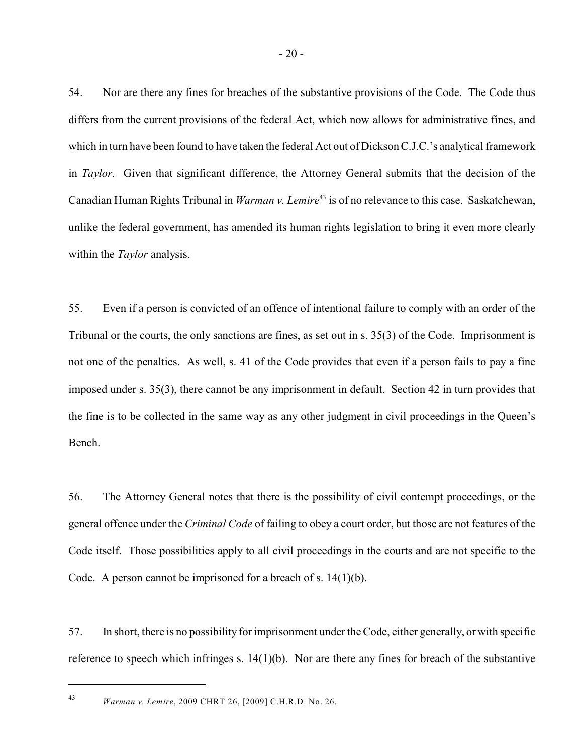54. Nor are there any fines for breaches of the substantive provisions of the Code. The Code thus differs from the current provisions of the federal Act, which now allows for administrative fines, and which in turn have been found to have taken the federal Act out of Dickson C.J.C.'s analytical framework in *Taylor*. Given that significant difference, the Attorney General submits that the decision of the Canadian Human Rights Tribunal in *Warman v. Lemire*<sup>43</sup> is of no relevance to this case. Saskatchewan, unlike the federal government, has amended its human rights legislation to bring it even more clearly within the *Taylor* analysis.

55. Even if a person is convicted of an offence of intentional failure to comply with an order of the Tribunal or the courts, the only sanctions are fines, as set out in s. 35(3) of the Code. Imprisonment is not one of the penalties. As well, s. 41 of the Code provides that even if a person fails to pay a fine imposed under s. 35(3), there cannot be any imprisonment in default. Section 42 in turn provides that the fine is to be collected in the same way as any other judgment in civil proceedings in the Queen's Bench.

56. The Attorney General notes that there is the possibility of civil contempt proceedings, or the general offence under the *Criminal Code* of failing to obey a court order, but those are not features of the Code itself. Those possibilities apply to all civil proceedings in the courts and are not specific to the Code. A person cannot be imprisoned for a breach of s. 14(1)(b).

57. In short, there is no possibility for imprisonment under the Code, either generally, or with specific reference to speech which infringes s. 14(1)(b). Nor are there any fines for breach of the substantive

*Warman v. Lemire*, 2009 CHRT 26, [2009] C.H.R.D. No. 26. <sup>43</sup>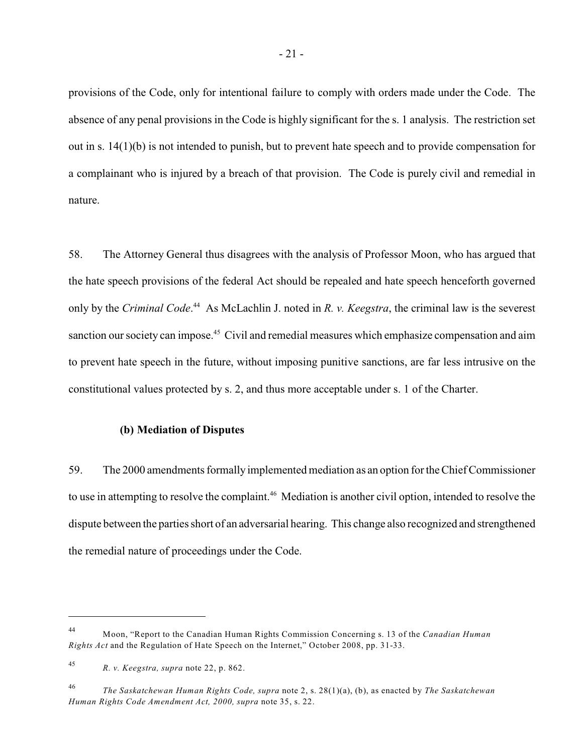provisions of the Code, only for intentional failure to comply with orders made under the Code. The absence of any penal provisions in the Code is highly significant for the s. 1 analysis. The restriction set out in s. 14(1)(b) is not intended to punish, but to prevent hate speech and to provide compensation for a complainant who is injured by a breach of that provision. The Code is purely civil and remedial in nature.

58. The Attorney General thus disagrees with the analysis of Professor Moon, who has argued that the hate speech provisions of the federal Act should be repealed and hate speech henceforth governed only by the *Criminal Code*.<sup>44</sup> As McLachlin J. noted in *R. v. Keegstra*, the criminal law is the severest sanction our society can impose.<sup>45</sup> Civil and remedial measures which emphasize compensation and aim to prevent hate speech in the future, without imposing punitive sanctions, are far less intrusive on the constitutional values protected by s. 2, and thus more acceptable under s. 1 of the Charter.

### **(b) Mediation of Disputes**

59. The 2000 amendments formally implemented mediation as an option for the Chief Commissioner to use in attempting to resolve the complaint.<sup>46</sup> Mediation is another civil option, intended to resolve the dispute between the parties short of an adversarial hearing. This change also recognized and strengthened the remedial nature of proceedings under the Code.

Moon, "Report to the Canadian Human Rights Commission Concerning s. 13 of the *Canadian Human* 44 *Rights Act* and the Regulation of Hate Speech on the Internet," October 2008, pp. 31-33.

*R. v. Keegstra, supra* note 22, p. 862. <sup>45</sup>

*The Saskatchewan Human Rights Code, supra* note 2, s. 28(1)(a), (b), as enacted by *The Saskatchewan* 46 *Human Rights Code Amendment Act, 2000, supra* note 35, s. 22.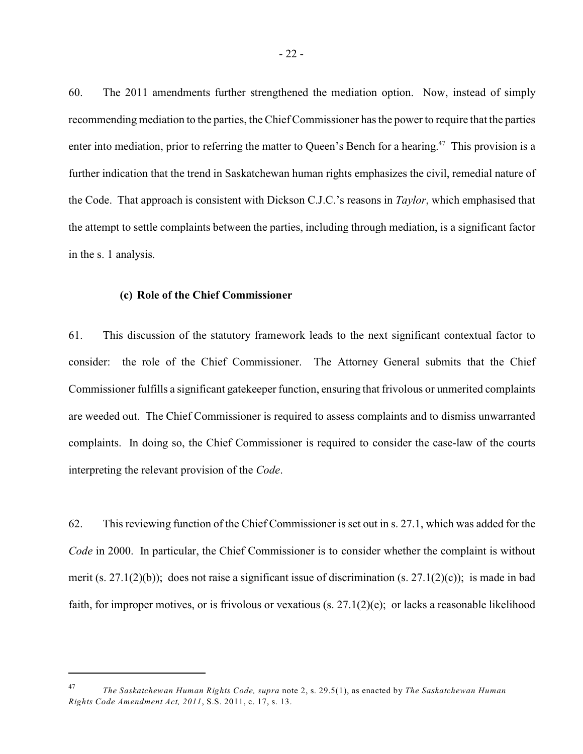60. The 2011 amendments further strengthened the mediation option. Now, instead of simply recommending mediation to the parties, the Chief Commissioner has the power to require that the parties enter into mediation, prior to referring the matter to Queen's Bench for a hearing.<sup>47</sup> This provision is a further indication that the trend in Saskatchewan human rights emphasizes the civil, remedial nature of the Code. That approach is consistent with Dickson C.J.C.'s reasons in *Taylor*, which emphasised that the attempt to settle complaints between the parties, including through mediation, is a significant factor in the s. 1 analysis.

### **(c) Role of the Chief Commissioner**

61. This discussion of the statutory framework leads to the next significant contextual factor to consider: the role of the Chief Commissioner. The Attorney General submits that the Chief Commissioner fulfills a significant gatekeeper function, ensuring that frivolous or unmerited complaints are weeded out. The Chief Commissioner is required to assess complaints and to dismiss unwarranted complaints. In doing so, the Chief Commissioner is required to consider the case-law of the courts interpreting the relevant provision of the *Code*.

62. This reviewing function of the Chief Commissioner is set out in s. 27.1, which was added for the *Code* in 2000. In particular, the Chief Commissioner is to consider whether the complaint is without merit (s. 27.1(2)(b)); does not raise a significant issue of discrimination (s. 27.1(2)(c)); is made in bad faith, for improper motives, or is frivolous or vexatious (s. 27.1(2)(e); or lacks a reasonable likelihood

*The Saskatchewan Human Rights Code, supra* note 2, s. 29.5(1), as enacted by *The Saskatchewan Human* 47 *Rights Code Amendment Act, 2011*, S.S. 2011, c. 17, s. 13.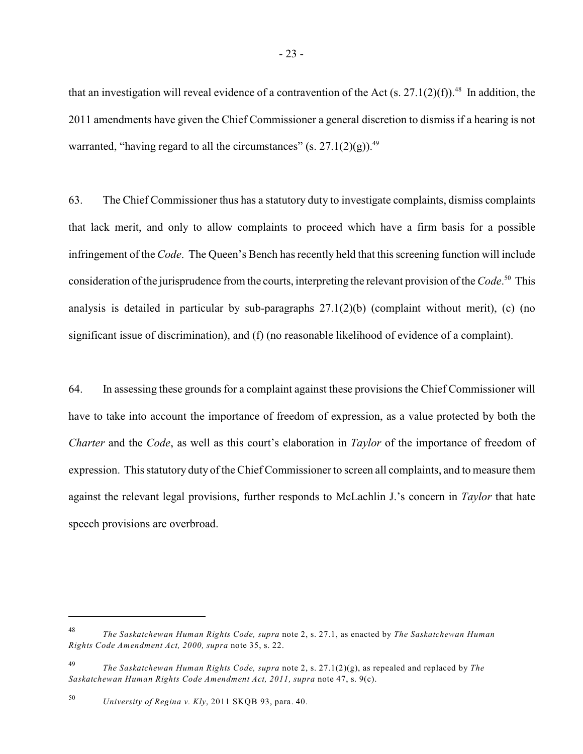that an investigation will reveal evidence of a contravention of the Act (s. 27.1(2)(f)).<sup>48</sup> In addition, the 2011 amendments have given the Chief Commissioner a general discretion to dismiss if a hearing is not warranted, "having regard to all the circumstances" (s.  $27.1(2)(g)$ ).<sup>49</sup>

63. The Chief Commissioner thus has a statutory duty to investigate complaints, dismiss complaints that lack merit, and only to allow complaints to proceed which have a firm basis for a possible infringement of the *Code*. The Queen's Bench has recently held that this screening function will include consideration of the jurisprudence from the courts, interpreting the relevant provision of the *Code*.<sup>50</sup> This analysis is detailed in particular by sub-paragraphs 27.1(2)(b) (complaint without merit), (c) (no significant issue of discrimination), and (f) (no reasonable likelihood of evidence of a complaint).

64. In assessing these grounds for a complaint against these provisions the Chief Commissioner will have to take into account the importance of freedom of expression, as a value protected by both the *Charter* and the *Code*, as well as this court's elaboration in *Taylor* of the importance of freedom of expression. This statutory duty of the Chief Commissioner to screen all complaints, and to measure them against the relevant legal provisions, further responds to McLachlin J.'s concern in *Taylor* that hate speech provisions are overbroad.

*The Saskatchewan Human Rights Code, supra* note 2, s. 27.1, as enacted by *The Saskatchewan Human* 48 *Rights Code Amendment Act, 2000, supra* note 35, s. 22.

*The Saskatchewan Human Rights Code, supra* note 2, s. 27.1(2)(g), as repealed and replaced by *The* <sup>49</sup> *Saskatchewan Human Rights Code Amendment Act, 2011, supra* note 47, s. 9(c).

<sup>&</sup>lt;sup>50</sup> *University of Regina v. Kly*, 2011 SKQB 93, para. 40.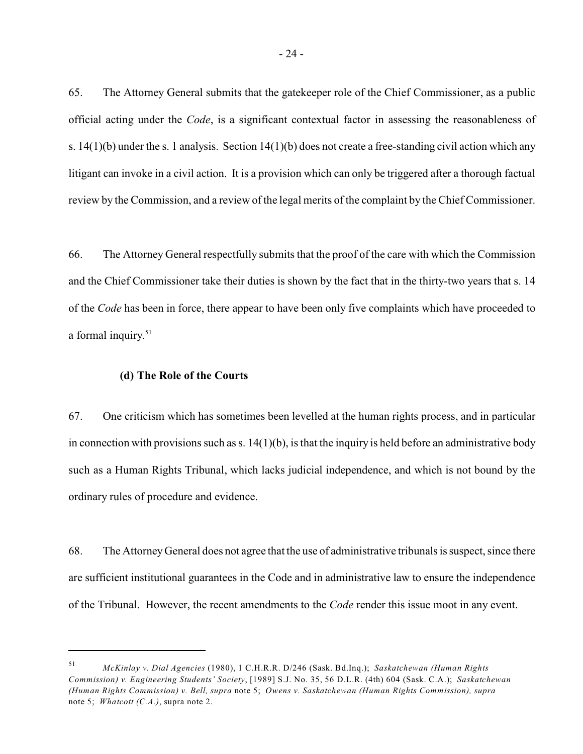65. The Attorney General submits that the gatekeeper role of the Chief Commissioner, as a public official acting under the *Code*, is a significant contextual factor in assessing the reasonableness of s. 14(1)(b) under the s. 1 analysis. Section 14(1)(b) does not create a free-standing civil action which any litigant can invoke in a civil action. It is a provision which can only be triggered after a thorough factual review by the Commission, and a review of the legal merits of the complaint by the Chief Commissioner.

66. The Attorney General respectfully submits that the proof of the care with which the Commission and the Chief Commissioner take their duties is shown by the fact that in the thirty-two years that s. 14 of the *Code* has been in force, there appear to have been only five complaints which have proceeded to a formal inquiry.<sup>51</sup>

### **(d) The Role of the Courts**

67. One criticism which has sometimes been levelled at the human rights process, and in particular in connection with provisions such as s.  $14(1)(b)$ , is that the inquiry is held before an administrative body such as a Human Rights Tribunal, which lacks judicial independence, and which is not bound by the ordinary rules of procedure and evidence.

68. The Attorney General does not agree that the use of administrative tribunals is suspect, since there are sufficient institutional guarantees in the Code and in administrative law to ensure the independence of the Tribunal. However, the recent amendments to the *Code* render this issue moot in any event.

*McKinlay v. Dial Agencies* (1980), 1 C.H.R.R. D/246 (Sask. Bd.Inq.); *Saskatchewan (Human Rights* <sup>51</sup> *Commission) v. Engineering Students' Society*, [1989] S.J. No. 35, 56 D.L.R. (4th) 604 (Sask. C.A.); *Saskatchewan (Human Rights Commission) v. Bell, supra* note 5; *Owens v. Saskatchewan (Human Rights Commission), supra* note 5; *Whatcott (C.A.)*, supra note 2.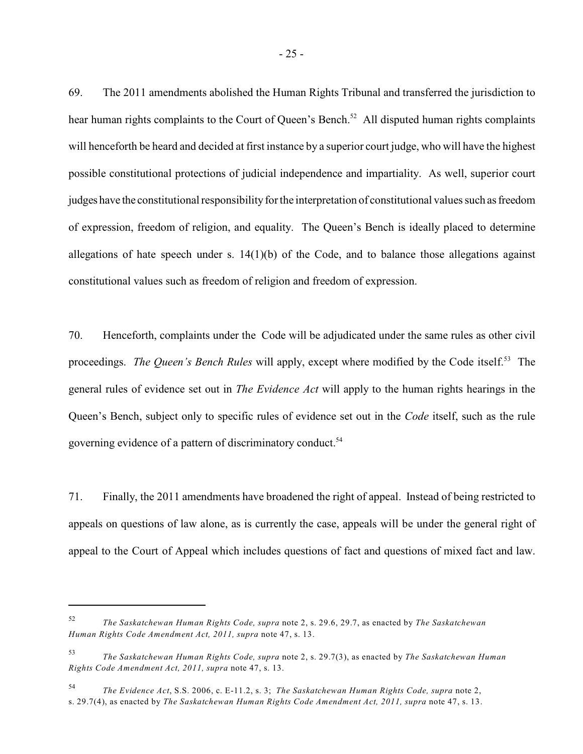69. The 2011 amendments abolished the Human Rights Tribunal and transferred the jurisdiction to hear human rights complaints to the Court of Queen's Bench.<sup>52</sup> All disputed human rights complaints will henceforth be heard and decided at first instance by a superior court judge, who will have the highest possible constitutional protections of judicial independence and impartiality. As well, superior court judges have the constitutional responsibility for the interpretation of constitutional values such as freedom of expression, freedom of religion, and equality. The Queen's Bench is ideally placed to determine allegations of hate speech under s.  $14(1)(b)$  of the Code, and to balance those allegations against constitutional values such as freedom of religion and freedom of expression.

70. Henceforth, complaints under the Code will be adjudicated under the same rules as other civil proceedings. *The Queen's Bench Rules* will apply, except where modified by the Code itself.<sup>53</sup> The general rules of evidence set out in *The Evidence Act* will apply to the human rights hearings in the Queen's Bench, subject only to specific rules of evidence set out in the *Code* itself, such as the rule governing evidence of a pattern of discriminatory conduct.<sup>54</sup>

71. Finally, the 2011 amendments have broadened the right of appeal. Instead of being restricted to appeals on questions of law alone, as is currently the case, appeals will be under the general right of appeal to the Court of Appeal which includes questions of fact and questions of mixed fact and law.

*The Saskatchewan Human Rights Code, supra* note 2, s. 29.6, 29.7, as enacted by *The Saskatchewan* 52 *Human Rights Code Amendment Act, 2011, supra* note 47, s. 13.

*The Saskatchewan Human Rights Code, supra* note 2, s. 29.7(3), as enacted by *The Saskatchewan Human* 53 *Rights Code Amendment Act, 2011, supra* note 47, s. 13.

*The Evidence Act*, S.S. 2006, c. E-11.2, s. 3; *The Saskatchewan Human Rights Code, supra* note 2, <sup>54</sup> s. 29.7(4), as enacted by *The Saskatchewan Human Rights Code Amendment Act, 2011, supra* note 47, s. 13.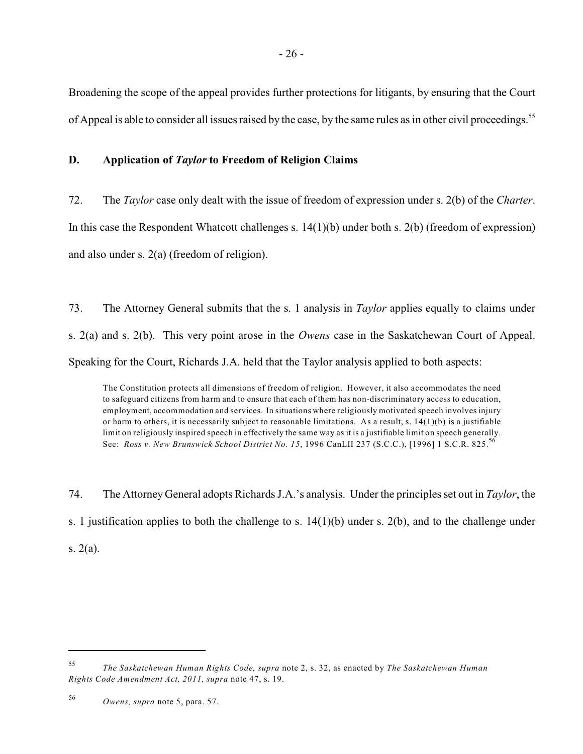Broadening the scope of the appeal provides further protections for litigants, by ensuring that the Court of Appeal is able to consider all issues raised by the case, by the same rules as in other civil proceedings.<sup>55</sup>

# **D. Application of** *Taylor* **to Freedom of Religion Claims**

72. The *Taylor* case only dealt with the issue of freedom of expression under s. 2(b) of the *Charter*. In this case the Respondent Whatcott challenges s. 14(1)(b) under both s. 2(b) (freedom of expression) and also under s. 2(a) (freedom of religion).

73. The Attorney General submits that the s. 1 analysis in *Taylor* applies equally to claims under s. 2(a) and s. 2(b). This very point arose in the *Owens* case in the Saskatchewan Court of Appeal. Speaking for the Court, Richards J.A. held that the Taylor analysis applied to both aspects:

The Constitution protects all dimensions of freedom of religion. However, it also accommodates the need to safeguard citizens from harm and to ensure that each of them has non-discriminatory access to education, employment, accommodation and services. In situations where religiously motivated speech involves injury or harm to others, it is necessarily subject to reasonable limitations. As a result, s.  $14(1)(b)$  is a justifiable limit on religiously inspired speech in effectively the same way as it is a justifiable limit on speech generally. See: *Ross v. New Brunswick School District No. 15*, 1996 CanLII 237 (S.C.C.), [1996] 1 S.C.R. 825.<sup>56</sup>

74. The Attorney General adopts Richards J.A.'s analysis. Under the principles set out in *Taylor*, the s. 1 justification applies to both the challenge to s. 14(1)(b) under s. 2(b), and to the challenge under s. 2(a).

*The Saskatchewan Human Rights Code, supra* note 2, s. 32, as enacted by *The Saskatchewan Human* 55 *Rights Code Amendment Act, 2011, supra* note 47, s. 19.

<sup>&</sup>lt;sup>56</sup> *Owens, supra* note 5, para. 57.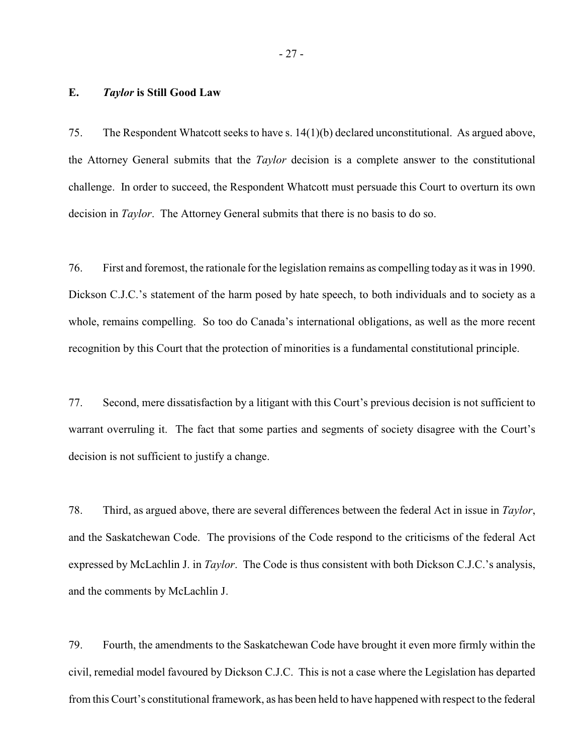### **E.** *Taylor* **is Still Good Law**

75. The Respondent Whatcott seeks to have s. 14(1)(b) declared unconstitutional. As argued above, the Attorney General submits that the *Taylor* decision is a complete answer to the constitutional challenge. In order to succeed, the Respondent Whatcott must persuade this Court to overturn its own decision in *Taylor*. The Attorney General submits that there is no basis to do so.

76. First and foremost, the rationale for the legislation remains as compelling today as it was in 1990. Dickson C.J.C.'s statement of the harm posed by hate speech, to both individuals and to society as a whole, remains compelling. So too do Canada's international obligations, as well as the more recent recognition by this Court that the protection of minorities is a fundamental constitutional principle.

77. Second, mere dissatisfaction by a litigant with this Court's previous decision is not sufficient to warrant overruling it. The fact that some parties and segments of society disagree with the Court's decision is not sufficient to justify a change.

78. Third, as argued above, there are several differences between the federal Act in issue in *Taylor*, and the Saskatchewan Code. The provisions of the Code respond to the criticisms of the federal Act expressed by McLachlin J. in *Taylor*. The Code is thus consistent with both Dickson C.J.C.'s analysis, and the comments by McLachlin J.

79. Fourth, the amendments to the Saskatchewan Code have brought it even more firmly within the civil, remedial model favoured by Dickson C.J.C. This is not a case where the Legislation has departed from this Court's constitutional framework, as has been held to have happened with respect to the federal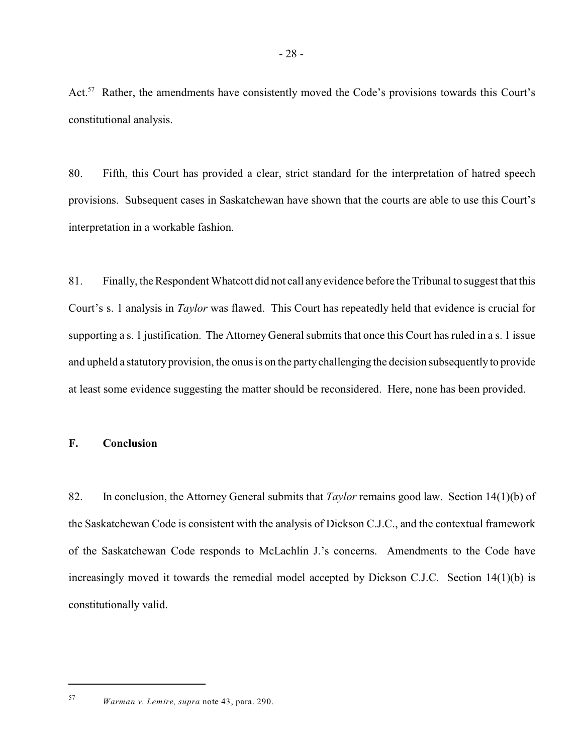Act.<sup>57</sup> Rather, the amendments have consistently moved the Code's provisions towards this Court's constitutional analysis.

80. Fifth, this Court has provided a clear, strict standard for the interpretation of hatred speech provisions. Subsequent cases in Saskatchewan have shown that the courts are able to use this Court's interpretation in a workable fashion.

81. Finally, the Respondent Whatcott did not call anyevidence before the Tribunal to suggest that this Court's s. 1 analysis in *Taylor* was flawed. This Court has repeatedly held that evidence is crucial for supporting a s. 1 justification. The Attorney General submits that once this Court has ruled in a s. 1 issue and upheld a statutory provision, the onus is on the partychallenging the decision subsequently to provide at least some evidence suggesting the matter should be reconsidered. Here, none has been provided.

# **F. Conclusion**

82. In conclusion, the Attorney General submits that *Taylor* remains good law. Section 14(1)(b) of the Saskatchewan Code is consistent with the analysis of Dickson C.J.C., and the contextual framework of the Saskatchewan Code responds to McLachlin J.'s concerns. Amendments to the Code have increasingly moved it towards the remedial model accepted by Dickson C.J.C. Section 14(1)(b) is constitutionally valid.

*Warman v. Lemire, supra* note 43, para. 290. <sup>57</sup>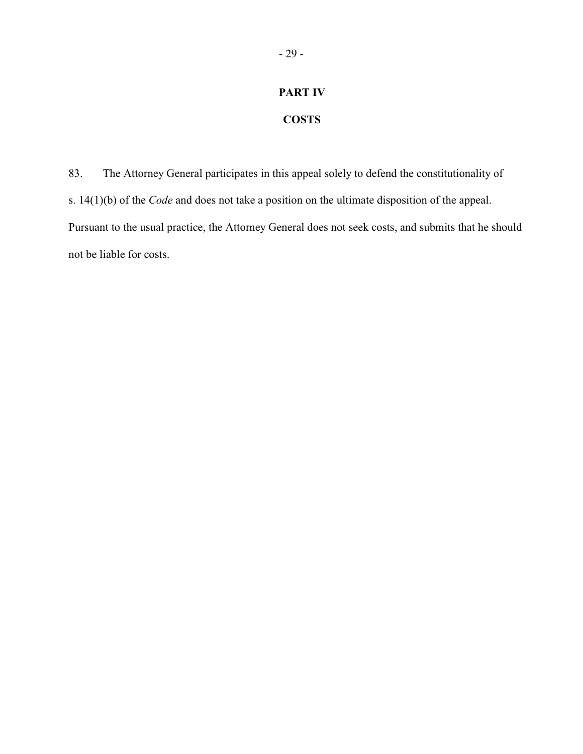# **PART IV**

# **COSTS**

83. The Attorney General participates in this appeal solely to defend the constitutionality of s. 14(1)(b) of the *Code* and does not take a position on the ultimate disposition of the appeal. Pursuant to the usual practice, the Attorney General does not seek costs, and submits that he should not be liable for costs.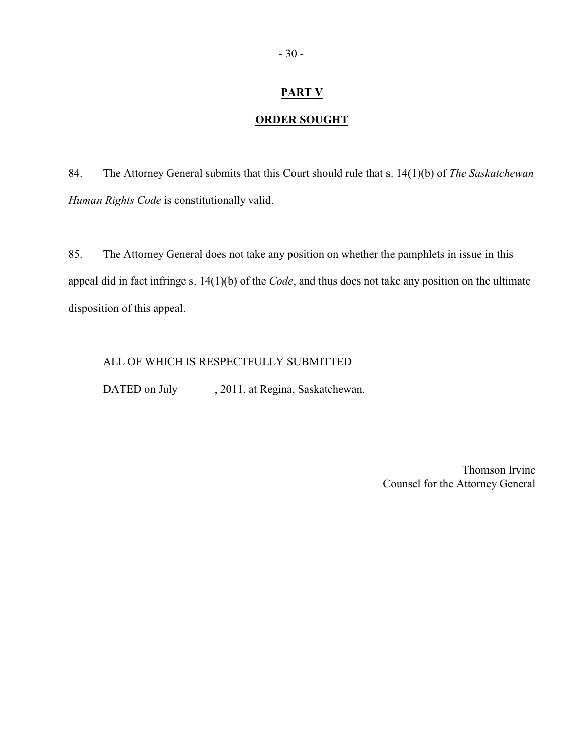# **PART V**

# **ORDER SOUGHT**

84. The Attorney General submits that this Court should rule that s. 14(1)(b) of *The Saskatchewan Human Rights Code* is constitutionally valid.

85. The Attorney General does not take any position on whether the pamphlets in issue in this appeal did in fact infringe s. 14(1)(b) of the *Code*, and thus does not take any position on the ultimate disposition of this appeal.

 $\overline{a}$ 

ALL OF WHICH IS RESPECTFULLY SUBMITTED

DATED on July \_\_\_\_\_\_, 2011, at Regina, Saskatchewan.

Thomson Irvine Counsel for the Attorney General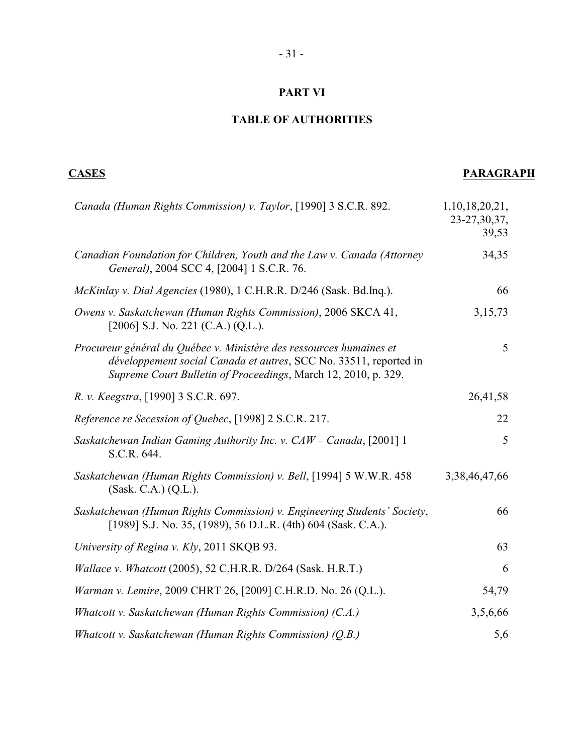# **PART VI**

# **TABLE OF AUTHORITIES**

# **CASES PARAGRAPH**

| Canada (Human Rights Commission) v. Taylor, [1990] 3 S.C.R. 892.                                                                                                                                           | 1,10,18,20,21,<br>23-27, 30, 37,<br>39,53 |
|------------------------------------------------------------------------------------------------------------------------------------------------------------------------------------------------------------|-------------------------------------------|
| Canadian Foundation for Children, Youth and the Law v. Canada (Attorney<br>General), 2004 SCC 4, [2004] 1 S.C.R. 76.                                                                                       | 34,35                                     |
| McKinlay v. Dial Agencies (1980), 1 C.H.R.R. D/246 (Sask. Bd.Inq.).                                                                                                                                        | 66                                        |
| Owens v. Saskatchewan (Human Rights Commission), 2006 SKCA 41,<br>[2006] S.J. No. 221 (C.A.) (Q.L.).                                                                                                       | 3,15,73                                   |
| Procureur général du Québec v. Ministère des ressources humaines et<br>développement social Canada et autres, SCC No. 33511, reported in<br>Supreme Court Bulletin of Proceedings, March 12, 2010, p. 329. | 5                                         |
| R. v. Keegstra, [1990] 3 S.C.R. 697.                                                                                                                                                                       | 26,41,58                                  |
| Reference re Secession of Quebec, [1998] 2 S.C.R. 217.                                                                                                                                                     | 22                                        |
| Saskatchewan Indian Gaming Authority Inc. v. CAW - Canada, [2001] 1<br>S.C.R. 644.                                                                                                                         | 5                                         |
| Saskatchewan (Human Rights Commission) v. Bell, [1994] 5 W.W.R. 458<br>(Sask. C.A.) (Q.L.).                                                                                                                | 3,38,46,47,66                             |
| Saskatchewan (Human Rights Commission) v. Engineering Students' Society,<br>[1989] S.J. No. 35, (1989), 56 D.L.R. (4th) 604 (Sask. C.A.).                                                                  | 66                                        |
| University of Regina v. Kly, 2011 SKQB 93.                                                                                                                                                                 | 63                                        |
| Wallace v. Whatcott (2005), 52 C.H.R.R. D/264 (Sask. H.R.T.)                                                                                                                                               | 6                                         |
| Warman v. Lemire, 2009 CHRT 26, [2009] C.H.R.D. No. 26 (Q.L.).                                                                                                                                             | 54,79                                     |
| Whatcott v. Saskatchewan (Human Rights Commission) (C.A.)                                                                                                                                                  | 3,5,6,66                                  |
| Whatcott v. Saskatchewan (Human Rights Commission) (Q.B.)                                                                                                                                                  | 5,6                                       |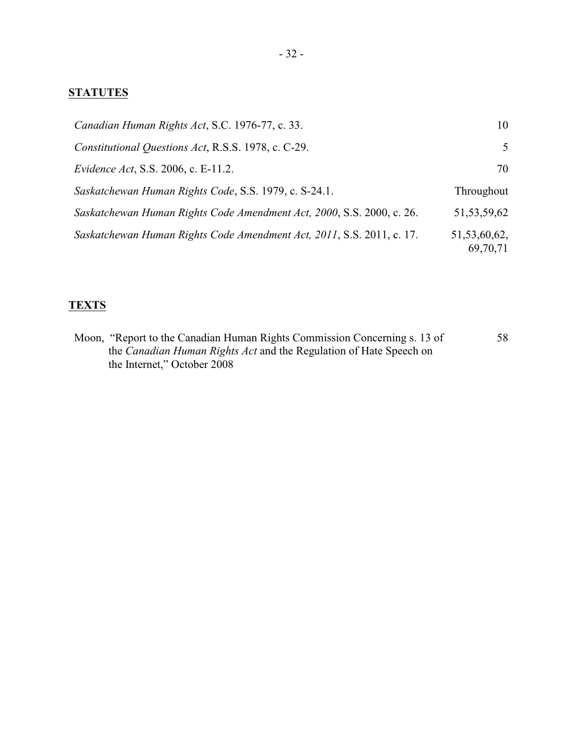# **STATUTES**

| Canadian Human Rights Act, S.C. 1976-77, c. 33.                       | 10                       |
|-----------------------------------------------------------------------|--------------------------|
| Constitutional Questions Act, R.S.S. 1978, c. C-29.                   | 5                        |
| <i>Evidence Act</i> , S.S. 2006, c. E-11.2.                           | 70                       |
| Saskatchewan Human Rights Code, S.S. 1979, c. S-24.1.                 | Throughout               |
| Saskatchewan Human Rights Code Amendment Act, 2000, S.S. 2000, c. 26. | 51, 53, 59, 62           |
| Saskatchewan Human Rights Code Amendment Act, 2011, S.S. 2011, c. 17. | 51,53,60,62,<br>69,70,71 |

# **TEXTS**

Moon, "Report to the Canadian Human Rights Commission Concerning s. 13 of the *Canadian Human Rights Act* and the Regulation of Hate Speech on the Internet," October 2008 58